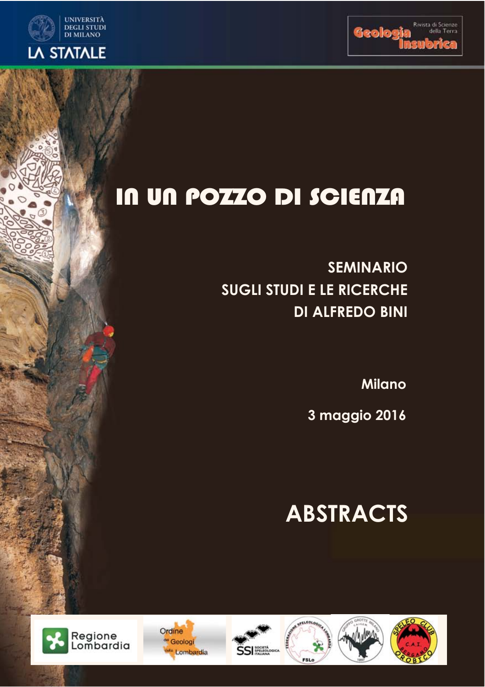

## **UNIVERSITÀ** DEGLI STUDI<br>DI MILANO **LA STATALE**

# IN UN POZZO DI SCIENZA

**SEMINARIO SUGLI STUDI E LE RICERCHE DI ALFREDO BINI**

**Milano**

**3 maggio 2016**

# **ABSTRACTS**



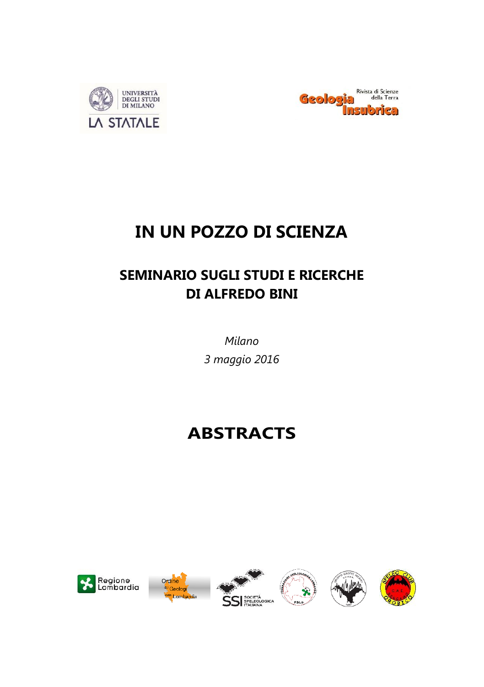



## **IN UN POZZO DI SCIENZA**

## **SEMINARIO SUGLI STUDI E RICERCHE DI ALFREDO BINI**

*Milano 3 maggio 2016*

## **ABSTRACTS**



Ordine <sup>ti</sup> Geologi







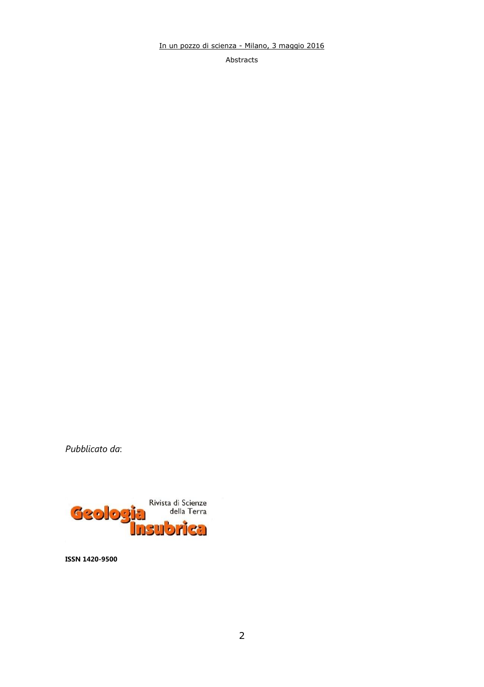Abstracts

*Pubblicato da*:



**ISSN 1420-9500**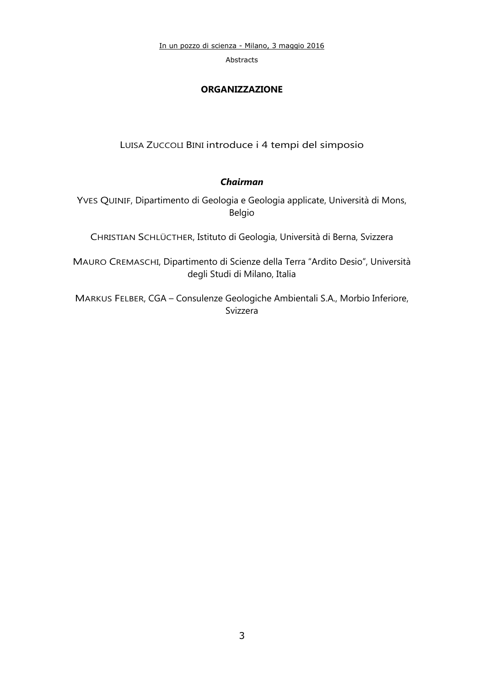Abstracts

### **ORGANIZZAZIONE**

LUISA ZUCCOLI BINI introduce i 4 tempi del simposio

## *Chairman*

YVES QUINIF, Dipartimento di Geologia e Geologia applicate, Università di Mons, Belgio

CHRISTIAN SCHLÜCTHER, Istituto di Geologia, Università di Berna, Svizzera

MAURO CREMASCHI, Dipartimento di Scienze della Terra "Ardito Desio", Università degli Studi di Milano, Italia

MARKUS FELBER, CGA – Consulenze Geologiche Ambientali S.A., Morbio Inferiore, Svizzera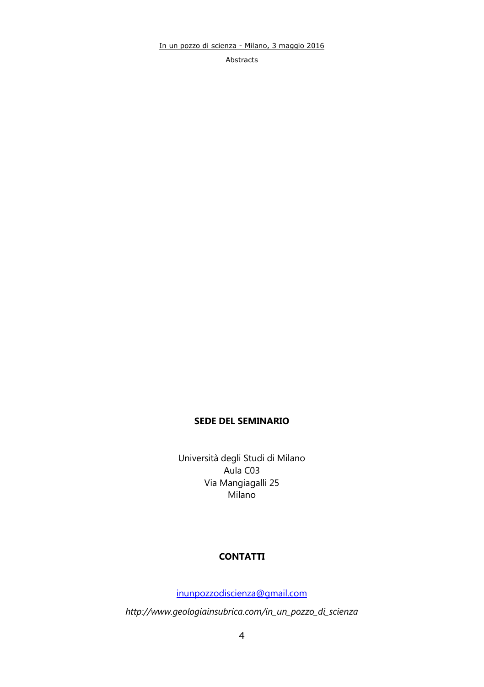Abstracts

## **SEDE DEL SEMINARIO**

Università degli Studi di Milano Aula C03 Via Mangiagalli 25 Milano

## **CONTATTI**

[inunpozzodiscienza@gmail.com](mailto:inunpozzodiscienza@gmail.com)

*http://www.geologiainsubrica.com/in\_un\_pozzo\_di\_scienza*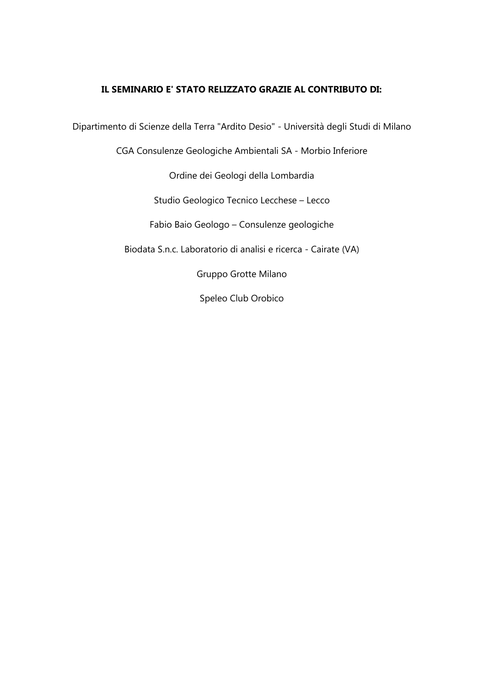## **IL SEMINARIO E' STATO RELIZZATO GRAZIE AL CONTRIBUTO DI:**

Dipartimento di Scienze della Terra "Ardito Desio" - Università degli Studi di Milano

CGA Consulenze Geologiche Ambientali SA - Morbio Inferiore

Ordine dei Geologi della Lombardia

Studio Geologico Tecnico Lecchese – Lecco

Fabio Baio Geologo – Consulenze geologiche

Biodata S.n.c. Laboratorio di analisi e ricerca - Cairate (VA)

Gruppo Grotte Milano

Speleo Club Orobico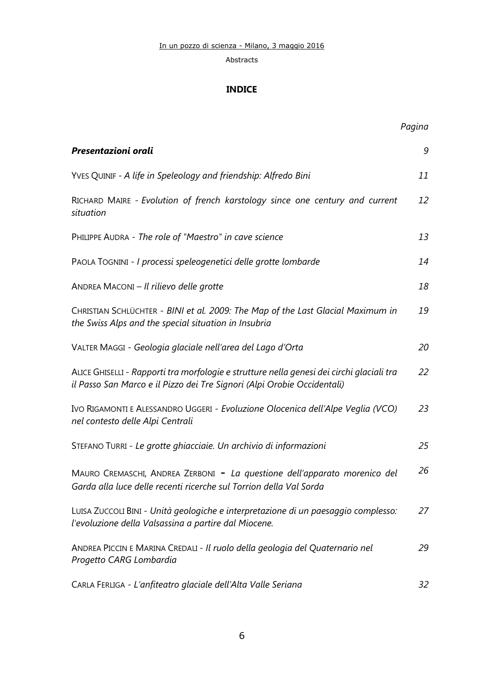## **INDICE**

|                                                                                                                                                                      | Pagina |
|----------------------------------------------------------------------------------------------------------------------------------------------------------------------|--------|
| Presentazioni orali                                                                                                                                                  | 9      |
| YVES QUINIF - A life in Speleology and friendship: Alfredo Bini                                                                                                      | 11     |
| RICHARD MAIRE - Evolution of french karstology since one century and current<br>situation                                                                            | 12     |
| PHILIPPE AUDRA - The role of "Maestro" in cave science                                                                                                               | 13     |
| PAOLA TOGNINI - I processi speleogenetici delle grotte lombarde                                                                                                      | 14     |
| ANDREA MACONI - Il rilievo delle grotte                                                                                                                              | 18     |
| CHRISTIAN SCHLÜCHTER - BINI et al. 2009: The Map of the Last Glacial Maximum in<br>the Swiss Alps and the special situation in Insubria                              | 19     |
| VALTER MAGGI - Geologia glaciale nell'area del Lago d'Orta                                                                                                           | 20     |
| ALICE GHISELLI - Rapporti tra morfologie e strutture nella genesi dei circhi glaciali tra<br>il Passo San Marco e il Pizzo dei Tre Signori (Alpi Orobie Occidentali) | 22     |
| IVO RIGAMONTI E ALESSANDRO UGGERI - Evoluzione Olocenica dell'Alpe Veglia (VCO)<br>nel contesto delle Alpi Centrali                                                  | 23     |
| STEFANO TURRI - Le grotte ghiacciaie. Un archivio di informazioni                                                                                                    | 25     |
| MAURO CREMASCHI, ANDREA ZERBONI - La questione dell'apparato morenico del<br>Garda alla luce delle recenti ricerche sul Torrion della Val Sorda                      | 26     |
| LUISA ZUCCOLI BINI - Unità geologiche e interpretazione di un paesaggio complesso:<br>l'evoluzione della Valsassina a partire dal Miocene.                           | 27     |
| ANDREA PICCIN E MARINA CREDALI - Il ruolo della geologia del Quaternario nel<br>Progetto CARG Lombardia                                                              | 29     |
| CARLA FERLIGA - L'anfiteatro glaciale dell'Alta Valle Seriana                                                                                                        | 32     |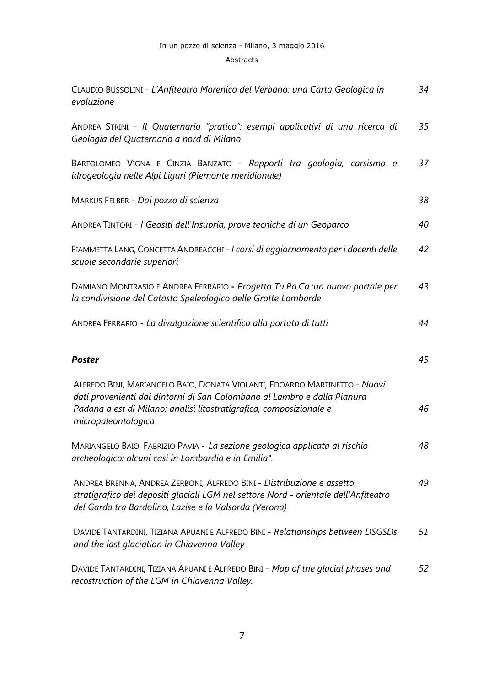#### Abstracts

| CLAUDIO BUSSOLINI - L'Anfiteatro Morenico del Verbano: una Carta Geologica in<br>evoluzione                                                                                                                                                          | 34 |
|------------------------------------------------------------------------------------------------------------------------------------------------------------------------------------------------------------------------------------------------------|----|
| ANDREA STRINI - Il Quaternario "pratico": esempi applicativi di una ricerca di<br>Geologia del Quaternario a nord di Milano                                                                                                                          | 35 |
| BARTOLOMEO VIGNA E CINZIA BANZATO - Rapporti tra geologia, carsismo e<br>idrogeologia nelle Alpi Liguri (Piemonte meridionale)                                                                                                                       | 37 |
| MARKUS FELBER - Dal pozzo di scienza                                                                                                                                                                                                                 | 38 |
| ANDREA TINTORI - I Geositi dell'Insubria, prove tecniche di un Geoparco                                                                                                                                                                              | 40 |
| FIAMMETTA LANG, CONCETTA ANDREACCHI - I corsi di aggiornamento per i docenti delle<br>scuole secondarie superiori                                                                                                                                    | 42 |
| DAMIANO MONTRASIO E ANDREA FERRARIO - Progetto Tu.Pa.Ca.:un nuovo portale per<br>la condivisione del Catasto Speleologico delle Grotte Lombarde                                                                                                      | 43 |
| ANDREA FERRARIO - La divulgazione scientifica alla portata di tutti                                                                                                                                                                                  | 44 |
| Poster                                                                                                                                                                                                                                               | 45 |
| ALFREDO BINI, MARIANGELO BAIO, DONATA VIOLANTI, EDOARDO MARTINETTO - Nuovi<br>dati provenienti dai dintorni di San Colombano al Lambro e dalla Pianura<br>Padana a est di Milano: analisi litostratigrafica, composizionale e<br>micropaleontologica | 46 |
| MARIANGELO BAIO, FABRIZIO PAVIA - La sezione geologica applicata al rischio<br>archeologico: alcuni casi in Lombardia e in Emilia".                                                                                                                  | 48 |
| ANDREA BRENNA, ANDREA ZERBONI, ALFREDO BINI - Distribuzione e assetto<br>stratigrafico dei depositi glaciali LGM nel settore Nord - orientale dell'Anfiteatro<br>del Garda tra Bardolino, Lazise e la Valsorda (Verona)                              | 49 |
| DAVIDE TANTARDINI, TIZIANA APUANI E ALFREDO BINI - Relationships between DSGSDs<br>and the last glaciation in Chiavenna Valley                                                                                                                       | 51 |
| DAVIDE TANTARDINI, TIZIANA APUANI E ALFREDO BINI - Map of the glacial phases and<br>recostruction of the LGM in Chiavenna Valley.                                                                                                                    | 52 |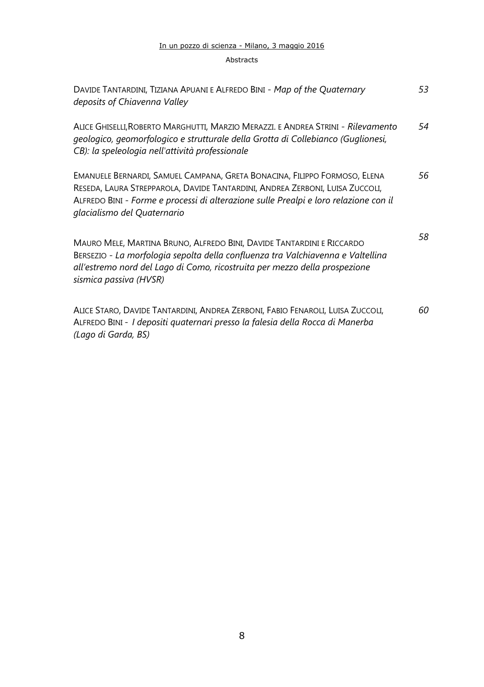#### Abstracts

| DAVIDE TANTARDINI, TIZIANA APUANI E ALFREDO BINI - Map of the Quaternary<br>deposits of Chiavenna Valley                                                                                                                                                                         | 53 |
|----------------------------------------------------------------------------------------------------------------------------------------------------------------------------------------------------------------------------------------------------------------------------------|----|
| ALICE GHISELLI, ROBERTO MARGHUTTI, MARZIO MERAZZI. E ANDREA STRINI - Rilevamento<br>geologico, geomorfologico e strutturale della Grotta di Collebianco (Guglionesi,<br>CB): la speleologia nell'attività professionale                                                          | 54 |
| EMANUELE BERNARDI, SAMUEL CAMPANA, GRETA BONACINA, FILIPPO FORMOSO, ELENA<br>RESEDA, LAURA STREPPAROLA, DAVIDE TANTARDINI, ANDREA ZERBONI, LUISA ZUCCOLI,<br>ALFREDO BINI - Forme e processi di alterazione sulle Prealpi e loro relazione con il<br>glacialismo del Quaternario | 56 |
| MAURO MELE, MARTINA BRUNO, ALFREDO BINI, DAVIDE TANTARDINI E RICCARDO<br>BERSEZIO - La morfologia sepolta della confluenza tra Valchiavenna e Valtellina<br>all'estremo nord del Lago di Como, ricostruita per mezzo della prospezione<br>sismica passiva (HVSR)                 | 58 |
| Alice Staro, Davide Tantardini, Andrea Zerboni, Fabio Fenaroli, Luisa Zuccoli,<br>ALFREDO BINI - I depositi quaternari presso la falesia della Rocca di Manerba<br>(Lago di Garda, BS)                                                                                           | 60 |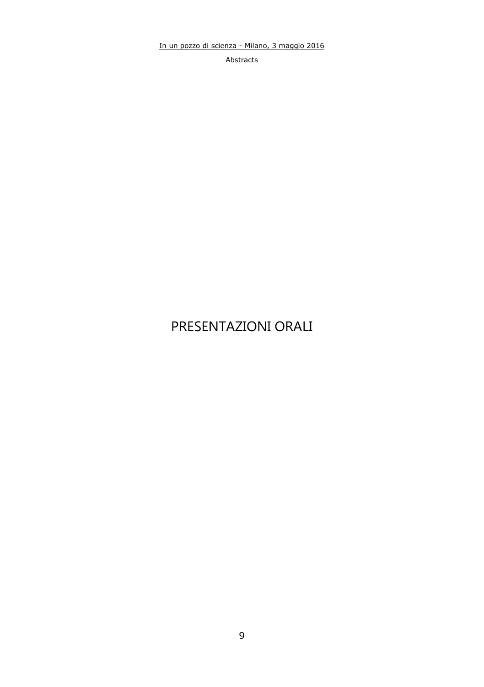Abstracts

## PRESENTAZIONI ORALI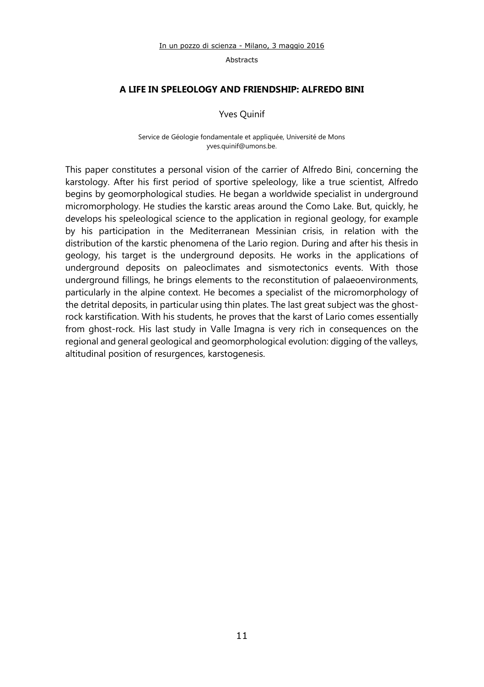## **A LIFE IN SPELEOLOGY AND FRIENDSHIP: ALFREDO BINI**

Yves Quinif

Service de Géologie fondamentale et appliquée, Université de Mons [yves.quinif@umons.be.](mailto:yves.quinif@umons.be)

This paper constitutes a personal vision of the carrier of Alfredo Bini, concerning the karstology. After his first period of sportive speleology, like a true scientist, Alfredo begins by geomorphological studies. He began a worldwide specialist in underground micromorphology. He studies the karstic areas around the Como Lake. But, quickly, he develops his speleological science to the application in regional geology, for example by his participation in the Mediterranean Messinian crisis, in relation with the distribution of the karstic phenomena of the Lario region. During and after his thesis in geology, his target is the underground deposits. He works in the applications of underground deposits on paleoclimates and sismotectonics events. With those underground fillings, he brings elements to the reconstitution of palaeoenvironments, particularly in the alpine context. He becomes a specialist of the micromorphology of the detrital deposits, in particular using thin plates. The last great subject was the ghostrock karstification. With his students, he proves that the karst of Lario comes essentially from ghost-rock. His last study in Valle Imagna is very rich in consequences on the regional and general geological and geomorphological evolution: digging of the valleys, altitudinal position of resurgences, karstogenesis.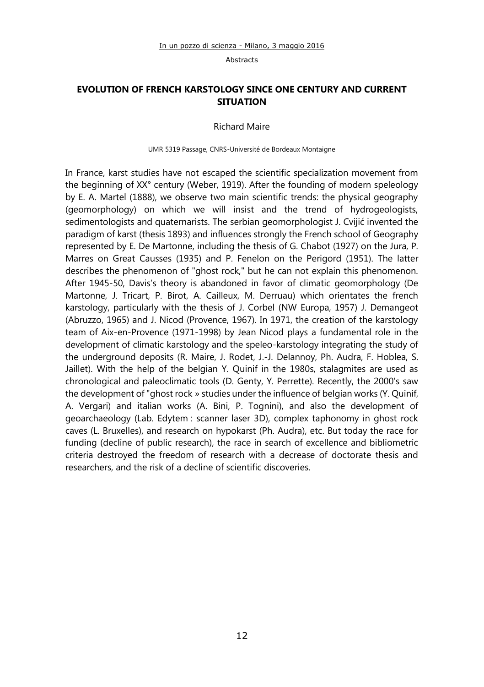## **EVOLUTION OF FRENCH KARSTOLOGY SINCE ONE CENTURY AND CURRENT SITUATION**

Richard Maire

#### UMR 5319 Passage, CNRS-Université de Bordeaux Montaigne

In France, karst studies have not escaped the scientific specialization movement from the beginning of XX° century (Weber, 1919). After the founding of modern speleology by E. A. Martel (1888), we observe two main scientific trends: the physical geography (geomorphology) on which we will insist and the trend of hydrogeologists, sedimentologists and quaternarists. The serbian geomorphologist J. Cvijić invented the paradigm of karst (thesis 1893) and influences strongly the French school of Geography represented by E. De Martonne, including the thesis of G. Chabot (1927) on the Jura, P. Marres on Great Causses (1935) and P. Fenelon on the Perigord (1951). The latter describes the phenomenon of "ghost rock," but he can not explain this phenomenon. After 1945-50, Davis's theory is abandoned in favor of climatic geomorphology (De Martonne, J. Tricart, P. Birot, A. Cailleux, M. Derruau) which orientates the french karstology, particularly with the thesis of J. Corbel (NW Europa, 1957) J. Demangeot (Abruzzo, 1965) and J. Nicod (Provence, 1967). In 1971, the creation of the karstology team of Aix-en-Provence (1971-1998) by Jean Nicod plays a fundamental role in the development of climatic karstology and the speleo-karstology integrating the study of the underground deposits (R. Maire, J. Rodet, J.-J. Delannoy, Ph. Audra, F. Hoblea, S. Jaillet). With the help of the belgian Y. Quinif in the 1980s, stalagmites are used as chronological and paleoclimatic tools (D. Genty, Y. Perrette). Recently, the 2000's saw the development of "ghost rock » studies under the influence of belgian works (Y. Quinif, A. Vergari) and italian works (A. Bini, P. Tognini), and also the development of geoarchaeology (Lab. Edytem : scanner laser 3D), complex taphonomy in ghost rock caves (L. Bruxelles), and research on hypokarst (Ph. Audra), etc. But today the race for funding (decline of public research), the race in search of excellence and bibliometric criteria destroyed the freedom of research with a decrease of doctorate thesis and researchers, and the risk of a decline of scientific discoveries.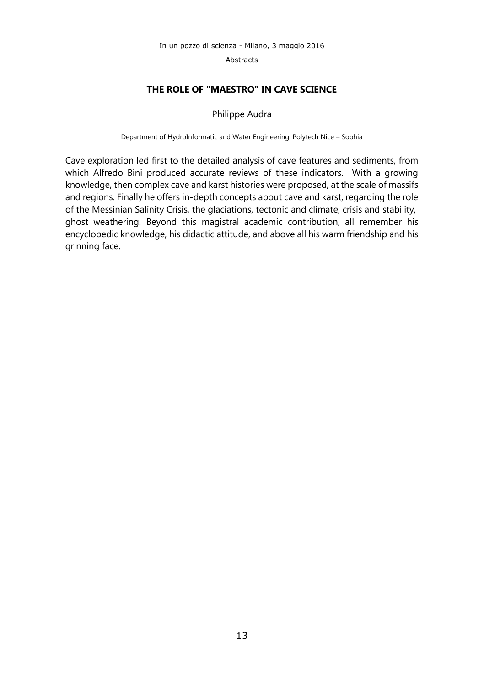## **THE ROLE OF "MAESTRO" IN CAVE SCIENCE**

#### Philippe Audra

Department of HydroInformatic and Water Engineering. Polytech Nice – Sophia

Cave exploration led first to the detailed analysis of cave features and sediments, from which Alfredo Bini produced accurate reviews of these indicators. With a growing knowledge, then complex cave and karst histories were proposed, at the scale of massifs and regions. Finally he offers in-depth concepts about cave and karst, regarding the role of the Messinian Salinity Crisis, the glaciations, tectonic and climate, crisis and stability, ghost weathering. Beyond this magistral academic contribution, all remember his encyclopedic knowledge, his didactic attitude, and above all his warm friendship and his grinning face.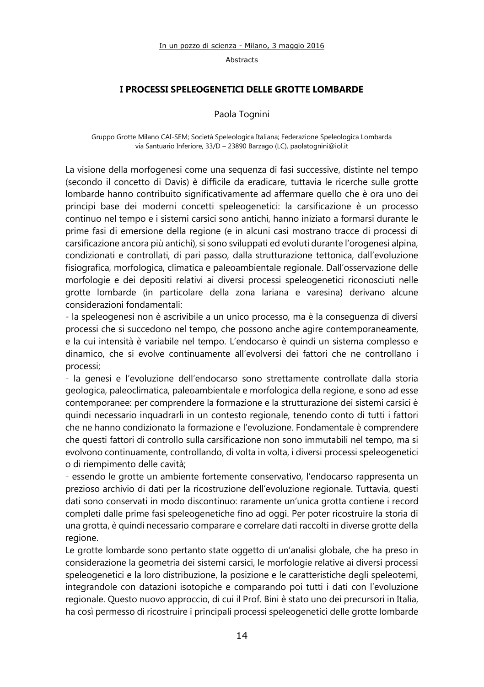#### **I PROCESSI SPELEOGENETICI DELLE GROTTE LOMBARDE**

## Paola Tognini

#### Gruppo Grotte Milano CAI-SEM; Società Speleologica Italiana; Federazione Speleologica Lombarda via Santuario Inferiore, 33/D – 23890 Barzago (LC)[, paolatognini@iol.it](mailto:paolatognini@iol.it)

La visione della morfogenesi come una sequenza di fasi successive, distinte nel tempo (secondo il concetto di Davis) è difficile da eradicare, tuttavia le ricerche sulle grotte lombarde hanno contribuito significativamente ad affermare quello che è ora uno dei principi base dei moderni concetti speleogenetici: la carsificazione è un processo continuo nel tempo e i sistemi carsici sono antichi, hanno iniziato a formarsi durante le prime fasi di emersione della regione (e in alcuni casi mostrano tracce di processi di carsificazione ancora più antichi), si sono sviluppati ed evoluti durante l'orogenesi alpina, condizionati e controllati, di pari passo, dalla strutturazione tettonica, dall'evoluzione fisiografica, morfologica, climatica e paleoambientale regionale. Dall'osservazione delle morfologie e dei depositi relativi ai diversi processi speleogenetici riconosciuti nelle grotte lombarde (in particolare della zona lariana e varesina) derivano alcune considerazioni fondamentali:

- la speleogenesi non è ascrivibile a un unico processo, ma è la conseguenza di diversi processi che si succedono nel tempo, che possono anche agire contemporaneamente, e la cui intensità è variabile nel tempo. L'endocarso è quindi un sistema complesso e dinamico, che si evolve continuamente all'evolversi dei fattori che ne controllano i processi;

- la genesi e l'evoluzione dell'endocarso sono strettamente controllate dalla storia geologica, paleoclimatica, paleoambientale e morfologica della regione, e sono ad esse contemporanee: per comprendere la formazione e la strutturazione dei sistemi carsici è quindi necessario inquadrarli in un contesto regionale, tenendo conto di tutti i fattori che ne hanno condizionato la formazione e l'evoluzione. Fondamentale è comprendere che questi fattori di controllo sulla carsificazione non sono immutabili nel tempo, ma si evolvono continuamente, controllando, di volta in volta, i diversi processi speleogenetici o di riempimento delle cavità;

- essendo le grotte un ambiente fortemente conservativo, l'endocarso rappresenta un prezioso archivio di dati per la ricostruzione dell'evoluzione regionale. Tuttavia, questi dati sono conservati in modo discontinuo: raramente un'unica grotta contiene i record completi dalle prime fasi speleogenetiche fino ad oggi. Per poter ricostruire la storia di una grotta, è quindi necessario comparare e correlare dati raccolti in diverse grotte della regione.

Le grotte lombarde sono pertanto state oggetto di un'analisi globale, che ha preso in considerazione la geometria dei sistemi carsici, le morfologie relative ai diversi processi speleogenetici e la loro distribuzione, la posizione e le caratteristiche degli speleotemi, integrandole con datazioni isotopiche e comparando poi tutti i dati con l'evoluzione regionale. Questo nuovo approccio, di cui il Prof. Bini è stato uno dei precursori in Italia, ha così permesso di ricostruire i principali processi speleogenetici delle grotte lombarde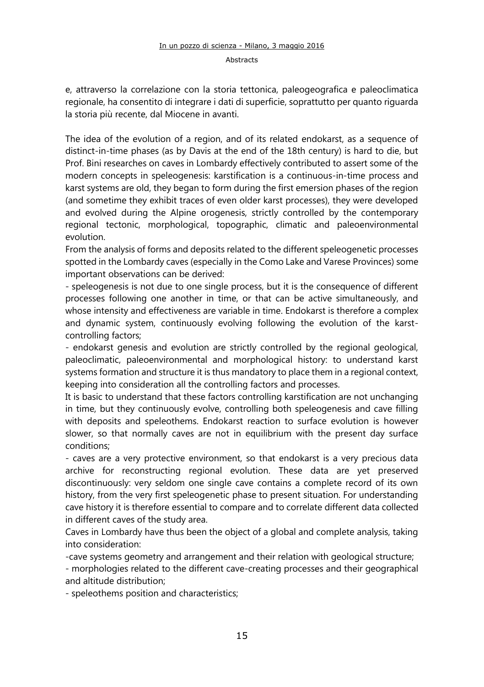e, attraverso la correlazione con la storia tettonica, paleogeografica e paleoclimatica regionale, ha consentito di integrare i dati di superficie, soprattutto per quanto riguarda la storia più recente, dal Miocene in avanti.

The idea of the evolution of a region, and of its related endokarst, as a sequence of distinct-in-time phases (as by Davis at the end of the 18th century) is hard to die, but Prof. Bini researches on caves in Lombardy effectively contributed to assert some of the modern concepts in speleogenesis: karstification is a continuous-in-time process and karst systems are old, they began to form during the first emersion phases of the region (and sometime they exhibit traces of even older karst processes), they were developed and evolved during the Alpine orogenesis, strictly controlled by the contemporary regional tectonic, morphological, topographic, climatic and paleoenvironmental evolution.

From the analysis of forms and deposits related to the different speleogenetic processes spotted in the Lombardy caves (especially in the Como Lake and Varese Provinces) some important observations can be derived:

- speleogenesis is not due to one single process, but it is the consequence of different processes following one another in time, or that can be active simultaneously, and whose intensity and effectiveness are variable in time. Endokarst is therefore a complex and dynamic system, continuously evolving following the evolution of the karstcontrolling factors;

- endokarst genesis and evolution are strictly controlled by the regional geological, paleoclimatic, paleoenvironmental and morphological history: to understand karst systems formation and structure it is thus mandatory to place them in a regional context, keeping into consideration all the controlling factors and processes.

It is basic to understand that these factors controlling karstification are not unchanging in time, but they continuously evolve, controlling both speleogenesis and cave filling with deposits and speleothems. Endokarst reaction to surface evolution is however slower, so that normally caves are not in equilibrium with the present day surface conditions;

- caves are a very protective environment, so that endokarst is a very precious data archive for reconstructing regional evolution. These data are yet preserved discontinuously: very seldom one single cave contains a complete record of its own history, from the very first speleogenetic phase to present situation. For understanding cave history it is therefore essential to compare and to correlate different data collected in different caves of the study area.

Caves in Lombardy have thus been the object of a global and complete analysis, taking into consideration:

-cave systems geometry and arrangement and their relation with geological structure;

- morphologies related to the different cave-creating processes and their geographical and altitude distribution;

- speleothems position and characteristics;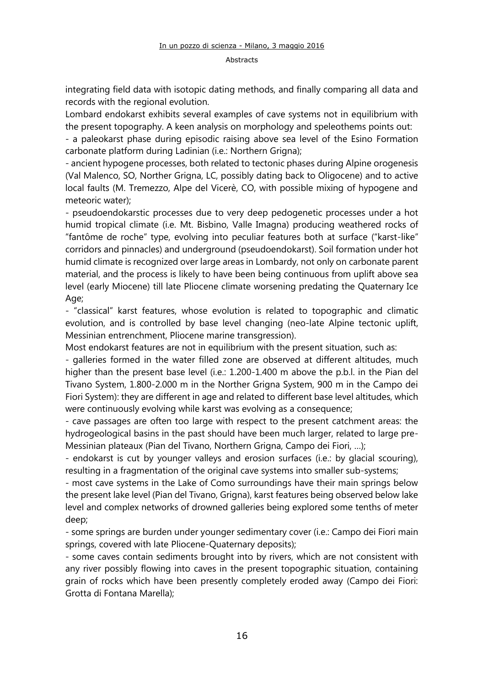integrating field data with isotopic dating methods, and finally comparing all data and records with the regional evolution.

Lombard endokarst exhibits several examples of cave systems not in equilibrium with the present topography. A keen analysis on morphology and speleothems points out:

- a paleokarst phase during episodic raising above sea level of the Esino Formation carbonate platform during Ladinian (i.e.: Northern Grigna);

- ancient hypogene processes, both related to tectonic phases during Alpine orogenesis (Val Malenco, SO, Norther Grigna, LC, possibly dating back to Oligocene) and to active local faults (M. Tremezzo, Alpe del Vicerè, CO, with possible mixing of hypogene and meteoric water);

- pseudoendokarstic processes due to very deep pedogenetic processes under a hot humid tropical climate (i.e. Mt. Bisbino, Valle Imagna) producing weathered rocks of "fantôme de roche" type, evolving into peculiar features both at surface ("karst-like" corridors and pinnacles) and underground (pseudoendokarst). Soil formation under hot humid climate is recognized over large areas in Lombardy, not only on carbonate parent material, and the process is likely to have been being continuous from uplift above sea level (early Miocene) till late Pliocene climate worsening predating the Quaternary Ice Age;

- "classical" karst features, whose evolution is related to topographic and climatic evolution, and is controlled by base level changing (neo-late Alpine tectonic uplift, Messinian entrenchment, Pliocene marine transgression).

Most endokarst features are not in equilibrium with the present situation, such as:

- galleries formed in the water filled zone are observed at different altitudes, much higher than the present base level (i.e.: 1.200-1.400 m above the p.b.l. in the Pian del Tivano System, 1.800-2.000 m in the Norther Grigna System, 900 m in the Campo dei Fiori System): they are different in age and related to different base level altitudes, which were continuously evolving while karst was evolving as a consequence:

- cave passages are often too large with respect to the present catchment areas: the hydrogeological basins in the past should have been much larger, related to large pre-Messinian plateaux (Pian del Tivano, Northern Grigna, Campo dei Fiori, …);

- endokarst is cut by younger valleys and erosion surfaces (i.e.: by glacial scouring), resulting in a fragmentation of the original cave systems into smaller sub-systems;

- most cave systems in the Lake of Como surroundings have their main springs below the present lake level (Pian del Tivano, Grigna), karst features being observed below lake level and complex networks of drowned galleries being explored some tenths of meter deep;

- some springs are burden under younger sedimentary cover (i.e.: Campo dei Fiori main springs, covered with late Pliocene-Quaternary deposits);

- some caves contain sediments brought into by rivers, which are not consistent with any river possibly flowing into caves in the present topographic situation, containing grain of rocks which have been presently completely eroded away (Campo dei Fiori: Grotta di Fontana Marella);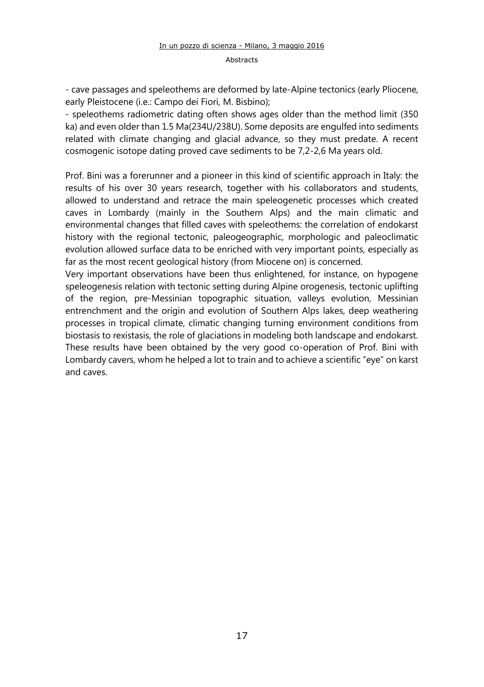- cave passages and speleothems are deformed by late-Alpine tectonics (early Pliocene, early Pleistocene (i.e.: Campo dei Fiori, M. Bisbino);

- speleothems radiometric dating often shows ages older than the method limit (350 ka) and even older than 1.5 Ma(234U/238U). Some deposits are engulfed into sediments related with climate changing and glacial advance, so they must predate. A recent cosmogenic isotope dating proved cave sediments to be 7,2-2,6 Ma years old.

Prof. Bini was a forerunner and a pioneer in this kind of scientific approach in Italy: the results of his over 30 years research, together with his collaborators and students, allowed to understand and retrace the main speleogenetic processes which created caves in Lombardy (mainly in the Southern Alps) and the main climatic and environmental changes that filled caves with speleothems: the correlation of endokarst history with the regional tectonic, paleogeographic, morphologic and paleoclimatic evolution allowed surface data to be enriched with very important points, especially as far as the most recent geological history (from Miocene on) is concerned.

Very important observations have been thus enlightened, for instance, on hypogene speleogenesis relation with tectonic setting during Alpine orogenesis, tectonic uplifting of the region, pre-Messinian topographic situation, valleys evolution, Messinian entrenchment and the origin and evolution of Southern Alps lakes, deep weathering processes in tropical climate, climatic changing turning environment conditions from biostasis to rexistasis, the role of glaciations in modeling both landscape and endokarst. These results have been obtained by the very good co-operation of Prof. Bini with Lombardy cavers, whom he helped a lot to train and to achieve a scientific "eye" on karst and caves.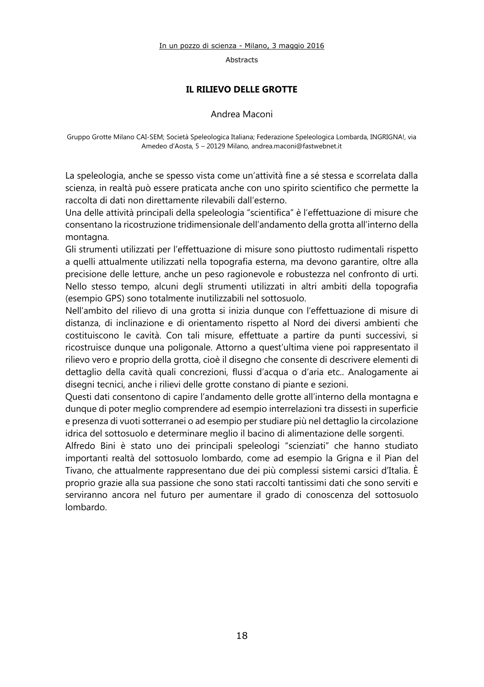Abstracts

## **IL RILIEVO DELLE GROTTE**

#### Andrea Maconi

Gruppo Grotte Milano CAI-SEM; Società Speleologica Italiana; Federazione Speleologica Lombarda, INGRIGNA!, via Amedeo d'Aosta, 5 – 20129 Milano[, andrea.maconi@fastwebnet.it](mailto:andrea.maconi@fastwebnet.it)

La speleologia, anche se spesso vista come un'attività fine a sé stessa e scorrelata dalla scienza, in realtà può essere praticata anche con uno spirito scientifico che permette la raccolta di dati non direttamente rilevabili dall'esterno.

Una delle attività principali della speleologia "scientifica" è l'effettuazione di misure che consentano la ricostruzione tridimensionale dell'andamento della grotta all'interno della montagna.

Gli strumenti utilizzati per l'effettuazione di misure sono piuttosto rudimentali rispetto a quelli attualmente utilizzati nella topografia esterna, ma devono garantire, oltre alla precisione delle letture, anche un peso ragionevole e robustezza nel confronto di urti. Nello stesso tempo, alcuni degli strumenti utilizzati in altri ambiti della topografia (esempio GPS) sono totalmente inutilizzabili nel sottosuolo.

Nell'ambito del rilievo di una grotta si inizia dunque con l'effettuazione di misure di distanza, di inclinazione e di orientamento rispetto al Nord dei diversi ambienti che costituiscono le cavità. Con tali misure, effettuate a partire da punti successivi, si ricostruisce dunque una poligonale. Attorno a quest'ultima viene poi rappresentato il rilievo vero e proprio della grotta, cioè il disegno che consente di descrivere elementi di dettaglio della cavità quali concrezioni, flussi d'acqua o d'aria etc.. Analogamente ai disegni tecnici, anche i rilievi delle grotte constano di piante e sezioni.

Questi dati consentono di capire l'andamento delle grotte all'interno della montagna e dunque di poter meglio comprendere ad esempio interrelazioni tra dissesti in superficie e presenza di vuoti sotterranei o ad esempio per studiare più nel dettaglio la circolazione idrica del sottosuolo e determinare meglio il bacino di alimentazione delle sorgenti.

Alfredo Bini è stato uno dei principali speleologi "scienziati" che hanno studiato importanti realtà del sottosuolo lombardo, come ad esempio la Grigna e il Pian del Tivano, che attualmente rappresentano due dei più complessi sistemi carsici d'Italia. È proprio grazie alla sua passione che sono stati raccolti tantissimi dati che sono serviti e serviranno ancora nel futuro per aumentare il grado di conoscenza del sottosuolo lombardo.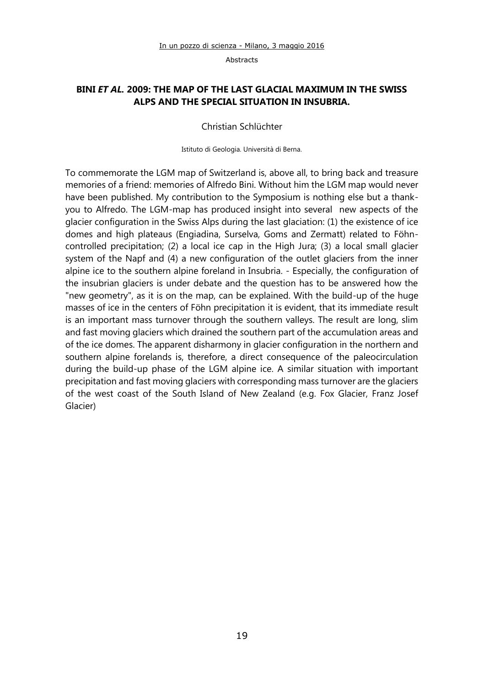## **BINI** *ET AL.* **2009: THE MAP OF THE LAST GLACIAL MAXIMUM IN THE SWISS ALPS AND THE SPECIAL SITUATION IN INSUBRIA.**

#### Christian Schlüchter

Istituto di Geologia. Università di Berna.

To commemorate the LGM map of Switzerland is, above all, to bring back and treasure memories of a friend: memories of Alfredo Bini. Without him the LGM map would never have been published. My contribution to the Symposium is nothing else but a thankyou to Alfredo. The LGM-map has produced insight into several new aspects of the glacier configuration in the Swiss Alps during the last glaciation: (1) the existence of ice domes and high plateaus (Engiadina, Surselva, Goms and Zermatt) related to Föhncontrolled precipitation; (2) a local ice cap in the High Jura; (3) a local small glacier system of the Napf and (4) a new configuration of the outlet glaciers from the inner alpine ice to the southern alpine foreland in Insubria. - Especially, the configuration of the insubrian glaciers is under debate and the question has to be answered how the "new geometry", as it is on the map, can be explained. With the build-up of the huge masses of ice in the centers of Föhn precipitation it is evident, that its immediate result is an important mass turnover through the southern valleys. The result are long, slim and fast moving glaciers which drained the southern part of the accumulation areas and of the ice domes. The apparent disharmony in glacier configuration in the northern and southern alpine forelands is, therefore, a direct consequence of the paleocirculation during the build-up phase of the LGM alpine ice. A similar situation with important precipitation and fast moving glaciers with corresponding mass turnover are the glaciers of the west coast of the South Island of New Zealand (e.g. Fox Glacier, Franz Josef Glacier)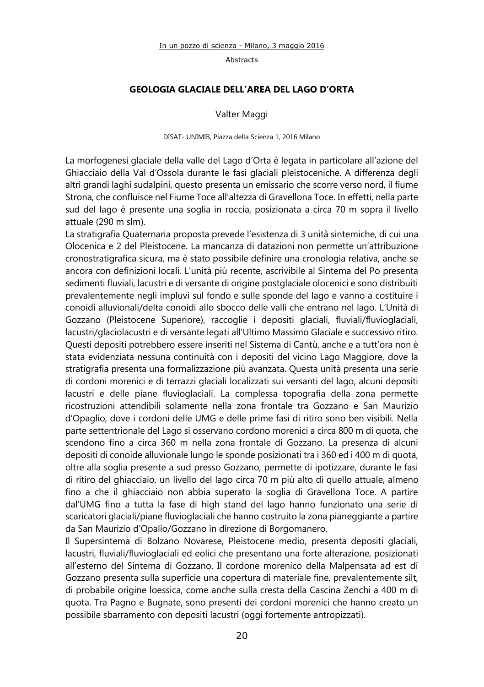#### **GEOLOGIA GLACIALE DELL'AREA DEL LAGO D'ORTA**

Valter Maggi

#### DISAT- UNIMIB, Piazza della Scienza 1, 2016 Milano

La morfogenesi glaciale della valle del Lago d'Orta è legata in particolare all'azione del Ghiacciaio della Val d'Ossola durante le fasi glaciali pleistoceniche. A differenza degli altri grandi laghi sudalpini, questo presenta un emissario che scorre verso nord, il fiume Strona, che confluisce nel Fiume Toce all'altezza di Gravellona Toce. In effetti, nella parte sud del lago è presente una soglia in roccia, posizionata a circa 70 m sopra il livello attuale (290 m slm).

La stratigrafia Quaternaria proposta prevede l'esistenza di 3 unità sintemiche, di cui una Olocenica e 2 del Pleistocene. La mancanza di datazioni non permette un'attribuzione cronostratigrafica sicura, ma è stato possibile definire una cronologia relativa, anche se ancora con definizioni locali. L'unità più recente, ascrivibile al Sintema del Po presenta sedimenti fluviali, lacustri e di versante di origine postglaciale olocenici e sono distribuiti prevalentemente negli impluvi sul fondo e sulle sponde del lago e vanno a costituire i conoidi alluvionali/delta conoidi allo sbocco delle valli che entrano nel lago. L'Unità di Gozzano (Pleistocene Superiore), raccoglie i depositi glaciali, fluviali/fluvioglaciali, lacustri/glaciolacustri e di versante legati all'Ultimo Massimo Glaciale e successivo ritiro. Questi depositi potrebbero essere inseriti nel Sistema di Cantù, anche e a tutt'ora non è stata evidenziata nessuna continuità con i depositi del vicino Lago Maggiore, dove la stratigrafia presenta una formalizzazione più avanzata. Questa unità presenta una serie di cordoni morenici e di terrazzi glaciali localizzati sui versanti del lago, alcuni depositi lacustri e delle piane fluvioglaciali. La complessa topografia della zona permette ricostruzioni attendibili solamente nella zona frontale tra Gozzano e San Maurizio d'Opaglio, dove i cordoni delle UMG e delle prime fasi di ritiro sono ben visibili. Nella parte settentrionale del Lago si osservano cordono morenici a circa 800 m di quota, che scendono fino a circa 360 m nella zona frontale di Gozzano. La presenza di alcuni depositi di conoide alluvionale lungo le sponde posizionati tra i 360 ed i 400 m di quota, oltre alla soglia presente a sud presso Gozzano, permette di ipotizzare, durante le fasi di ritiro del ghiacciaio, un livello del lago circa 70 m più alto di quello attuale, almeno fino a che il ghiacciaio non abbia superato la soglia di Gravellona Toce. A partire dal'UMG fino a tutta la fase di high stand del lago hanno funzionato una serie di scaricatori glaciali/piane fluvioglaciali che hanno costruito la zona pianeggiante a partire da San Maurizio d'Opalio/Gozzano in direzione di Borgomanero.

Il Supersintema di Bolzano Novarese, Pleistocene medio, presenta depositi glaciali, lacustri, fluviali/fluvioglaciali ed eolici che presentano una forte alterazione, posizionati all'esterno del Sintema di Gozzano. Il cordone morenico della Malpensata ad est di Gozzano presenta sulla superficie una copertura di materiale fine, prevalentemente silt, di probabile origine loessica, come anche sulla cresta della Cascina Zenchi a 400 m di quota. Tra Pagno e Bugnate, sono presenti dei cordoni morenici che hanno creato un possibile sbarramento con depositi lacustri (oggi fortemente antropizzati).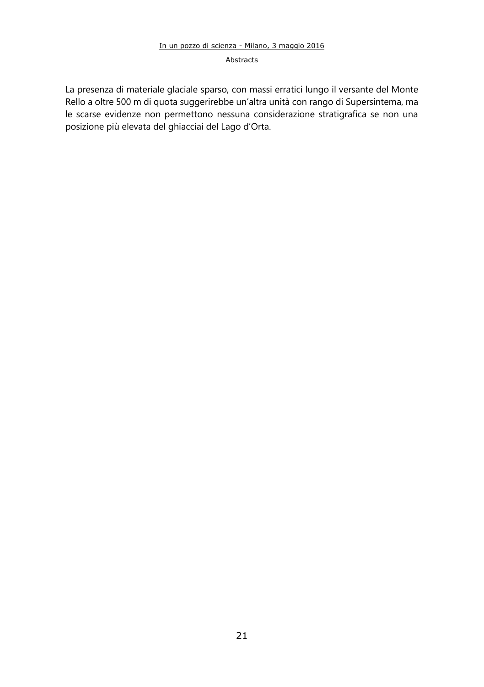#### Abstracts

La presenza di materiale glaciale sparso, con massi erratici lungo il versante del Monte Rello a oltre 500 m di quota suggerirebbe un'altra unità con rango di Supersintema, ma le scarse evidenze non permettono nessuna considerazione stratigrafica se non una posizione più elevata del ghiacciai del Lago d'Orta.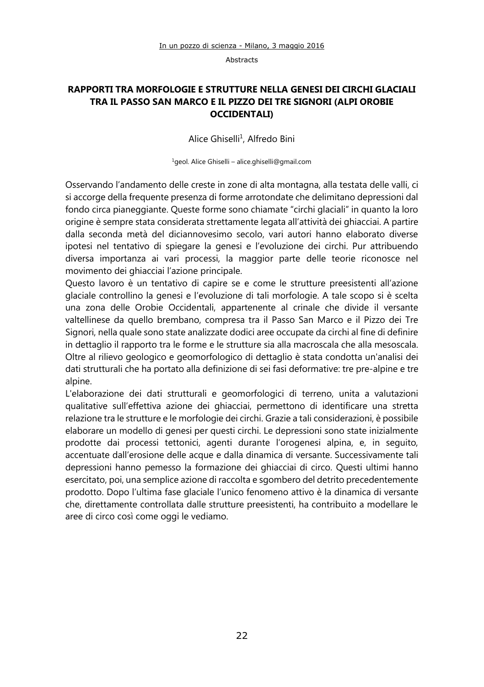## **RAPPORTI TRA MORFOLOGIE E STRUTTURE NELLA GENESI DEI CIRCHI GLACIALI TRA IL PASSO SAN MARCO E IL PIZZO DEI TRE SIGNORI (ALPI OROBIE OCCIDENTALI)**

Alice Ghiselli<sup>1</sup>, Alfredo Bini

<sup>1</sup>geol. Alice Ghiselli – alice.ghiselli@gmail.com

Osservando l'andamento delle creste in zone di alta montagna, alla testata delle valli, ci si accorge della frequente presenza di forme arrotondate che delimitano depressioni dal fondo circa pianeggiante. Queste forme sono chiamate "circhi glaciali" in quanto la loro origine è sempre stata considerata strettamente legata all'attività dei ghiacciai. A partire dalla seconda metà del diciannovesimo secolo, vari autori hanno elaborato diverse ipotesi nel tentativo di spiegare la genesi e l'evoluzione dei circhi. Pur attribuendo diversa importanza ai vari processi, la maggior parte delle teorie riconosce nel movimento dei ghiacciai l'azione principale.

Questo lavoro è un tentativo di capire se e come le strutture preesistenti all'azione glaciale controllino la genesi e l'evoluzione di tali morfologie. A tale scopo si è scelta una zona delle Orobie Occidentali, appartenente al crinale che divide il versante valtellinese da quello brembano, compresa tra il Passo San Marco e il Pizzo dei Tre Signori, nella quale sono state analizzate dodici aree occupate da circhi al fine di definire in dettaglio il rapporto tra le forme e le strutture sia alla macroscala che alla mesoscala. Oltre al rilievo geologico e geomorfologico di dettaglio è stata condotta un'analisi dei dati strutturali che ha portato alla definizione di sei fasi deformative: tre pre-alpine e tre alpine.

L'elaborazione dei dati strutturali e geomorfologici di terreno, unita a valutazioni qualitative sull'effettiva azione dei ghiacciai, permettono di identificare una stretta relazione tra le strutture e le morfologie dei circhi. Grazie a tali considerazioni, è possibile elaborare un modello di genesi per questi circhi. Le depressioni sono state inizialmente prodotte dai processi tettonici, agenti durante l'orogenesi alpina, e, in seguito, accentuate dall'erosione delle acque e dalla dinamica di versante. Successivamente tali depressioni hanno pemesso la formazione dei ghiacciai di circo. Questi ultimi hanno esercitato, poi, una semplice azione di raccolta e sgombero del detrito precedentemente prodotto. Dopo l'ultima fase glaciale l'unico fenomeno attivo è la dinamica di versante che, direttamente controllata dalle strutture preesistenti, ha contribuito a modellare le aree di circo così come oggi le vediamo.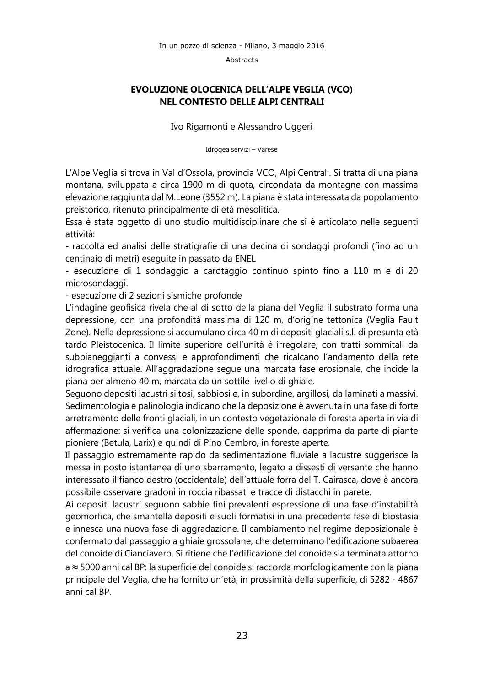## **EVOLUZIONE OLOCENICA DELL'ALPE VEGLIA (VCO) NEL CONTESTO DELLE ALPI CENTRALI**

Ivo Rigamonti e Alessandro Uggeri

Idrogea servizi – Varese

L'Alpe Veglia si trova in Val d'Ossola, provincia VCO, Alpi Centrali. Si tratta di una piana montana, sviluppata a circa 1900 m di quota, circondata da montagne con massima elevazione raggiunta dal M.Leone (3552 m). La piana è stata interessata da popolamento preistorico, ritenuto principalmente di età mesolitica.

Essa è stata oggetto di uno studio multidisciplinare che si è articolato nelle seguenti attività:

- raccolta ed analisi delle stratigrafie di una decina di sondaggi profondi (fino ad un centinaio di metri) eseguite in passato da ENEL

- esecuzione di 1 sondaggio a carotaggio continuo spinto fino a 110 m e di 20 microsondaggi.

- esecuzione di 2 sezioni sismiche profonde

L'indagine geofisica rivela che al di sotto della piana del Veglia il substrato forma una depressione, con una profondità massima di 120 m, d'origine tettonica (Veglia Fault Zone). Nella depressione si accumulano circa 40 m di depositi glaciali s.l. di presunta età tardo Pleistocenica. Il limite superiore dell'unità è irregolare, con tratti sommitali da subpianeggianti a convessi e approfondimenti che ricalcano l'andamento della rete idrografica attuale. All'aggradazione segue una marcata fase erosionale, che incide la piana per almeno 40 m, marcata da un sottile livello di ghiaie.

Seguono depositi lacustri siltosi, sabbiosi e, in subordine, argillosi, da laminati a massivi. Sedimentologia e palinologia indicano che la deposizione è avvenuta in una fase di forte arretramento delle fronti glaciali, in un contesto vegetazionale di foresta aperta in via di affermazione: si verifica una colonizzazione delle sponde, dapprima da parte di piante pioniere (Betula, Larix) e quindi di Pino Cembro, in foreste aperte.

Il passaggio estremamente rapido da sedimentazione fluviale a lacustre suggerisce la messa in posto istantanea di uno sbarramento, legato a dissesti di versante che hanno interessato il fianco destro (occidentale) dell'attuale forra del T. Cairasca, dove è ancora possibile osservare gradoni in roccia ribassati e tracce di distacchi in parete.

Ai depositi lacustri seguono sabbie fini prevalenti espressione di una fase d'instabilità geomorfica, che smantella depositi e suoli formatisi in una precedente fase di biostasia e innesca una nuova fase di aggradazione. Il cambiamento nel regime deposizionale è confermato dal passaggio a ghiaie grossolane, che determinano l'edificazione subaerea del conoide di Cianciavero. Si ritiene che l'edificazione del conoide sia terminata attorno

a 5000 anni cal BP: la superficie del conoide si raccorda morfologicamente con la piana principale del Veglia, che ha fornito un'età, in prossimità della superficie, di 5282 - 4867 anni cal BP.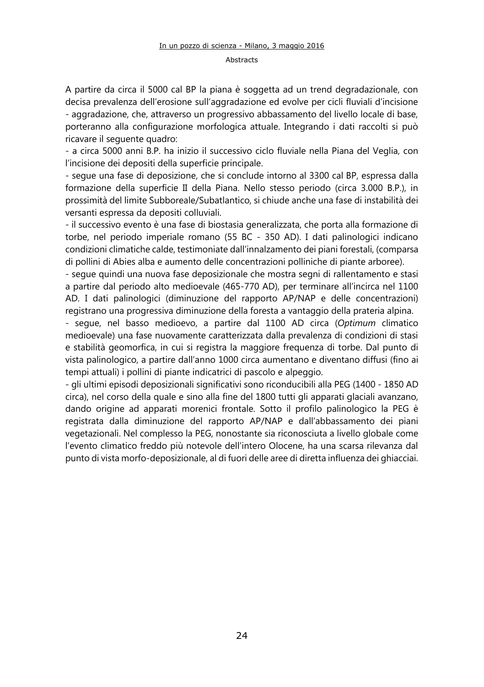A partire da circa il 5000 cal BP la piana è soggetta ad un trend degradazionale, con decisa prevalenza dell'erosione sull'aggradazione ed evolve per cicli fluviali d'incisione - aggradazione, che, attraverso un progressivo abbassamento del livello locale di base, porteranno alla configurazione morfologica attuale. Integrando i dati raccolti si può ricavare il seguente quadro:

- a circa 5000 anni B.P. ha inizio il successivo ciclo fluviale nella Piana del Veglia, con l'incisione dei depositi della superficie principale.

- segue una fase di deposizione, che si conclude intorno al 3300 cal BP, espressa dalla formazione della superficie II della Piana. Nello stesso periodo (circa 3.000 B.P.), in prossimità del limite Subboreale/Subatlantico, si chiude anche una fase di instabilità dei versanti espressa da depositi colluviali.

- il successivo evento è una fase di biostasia generalizzata, che porta alla formazione di torbe, nel periodo imperiale romano (55 BC - 350 AD). I dati palinologici indicano condizioni climatiche calde, testimoniate dall'innalzamento dei piani forestali, (comparsa di pollini di Abies alba e aumento delle concentrazioni polliniche di piante arboree).

- segue quindi una nuova fase deposizionale che mostra segni di rallentamento e stasi a partire dal periodo alto medioevale (465-770 AD), per terminare all'incirca nel 1100 AD. I dati palinologici (diminuzione del rapporto AP/NAP e delle concentrazioni) registrano una progressiva diminuzione della foresta a vantaggio della prateria alpina.

- segue, nel basso medioevo, a partire dal 1100 AD circa (*Optimum* climatico medioevale) una fase nuovamente caratterizzata dalla prevalenza di condizioni di stasi e stabilità geomorfica, in cui si registra la maggiore frequenza di torbe. Dal punto di vista palinologico, a partire dall'anno 1000 circa aumentano e diventano diffusi (fino ai tempi attuali) i pollini di piante indicatrici di pascolo e alpeggio.

- gli ultimi episodi deposizionali significativi sono riconducibili alla PEG (1400 - 1850 AD circa), nel corso della quale e sino alla fine del 1800 tutti gli apparati glaciali avanzano, dando origine ad apparati morenici frontale. Sotto il profilo palinologico la PEG è registrata dalla diminuzione del rapporto AP/NAP e dall'abbassamento dei piani vegetazionali. Nel complesso la PEG, nonostante sia riconosciuta a livello globale come l'evento climatico freddo più notevole dell'intero Olocene, ha una scarsa rilevanza dal punto di vista morfo-deposizionale, al di fuori delle aree di diretta influenza dei ghiacciai.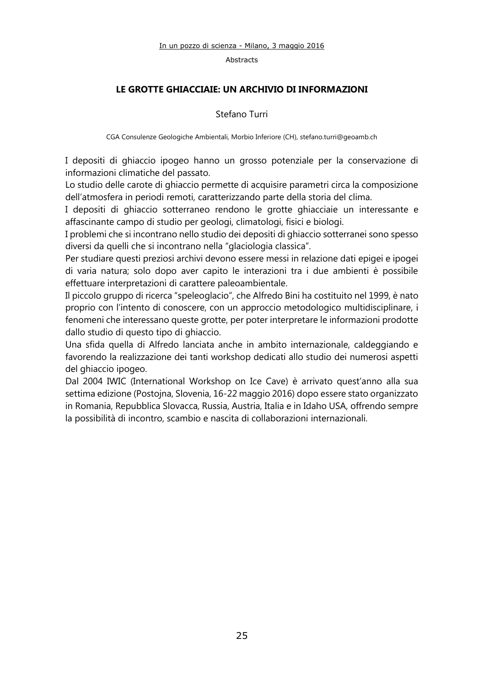### **LE GROTTE GHIACCIAIE: UN ARCHIVIO DI INFORMAZIONI**

#### Stefano Turri

CGA Consulenze Geologiche Ambientali, Morbio Inferiore (CH)[, stefano.turri@geoamb.ch](mailto:stefano.turri@geoamb.ch)

I depositi di ghiaccio ipogeo hanno un grosso potenziale per la conservazione di informazioni climatiche del passato.

Lo studio delle carote di ghiaccio permette di acquisire parametri circa la composizione dell'atmosfera in periodi remoti, caratterizzando parte della storia del clima.

I depositi di ghiaccio sotterraneo rendono le grotte ghiacciaie un interessante e affascinante campo di studio per geologi, climatologi, fisici e biologi.

I problemi che si incontrano nello studio dei depositi di ghiaccio sotterranei sono spesso diversi da quelli che si incontrano nella "glaciologia classica".

Per studiare questi preziosi archivi devono essere messi in relazione dati epigei e ipogei di varia natura; solo dopo aver capito le interazioni tra i due ambienti è possibile effettuare interpretazioni di carattere paleoambientale.

Il piccolo gruppo di ricerca "speleoglacio", che Alfredo Bini ha costituito nel 1999, è nato proprio con l'intento di conoscere, con un approccio metodologico multidisciplinare, i fenomeni che interessano queste grotte, per poter interpretare le informazioni prodotte dallo studio di questo tipo di ghiaccio.

Una sfida quella di Alfredo lanciata anche in ambito internazionale, caldeggiando e favorendo la realizzazione dei tanti workshop dedicati allo studio dei numerosi aspetti del ghiaccio ipogeo.

Dal 2004 IWIC (International Workshop on Ice Cave) è arrivato quest'anno alla sua settima edizione (Postojna, Slovenia, 16-22 maggio 2016) dopo essere stato organizzato in Romania, Repubblica Slovacca, Russia, Austria, Italia e in Idaho USA, offrendo sempre la possibilità di incontro, scambio e nascita di collaborazioni internazionali.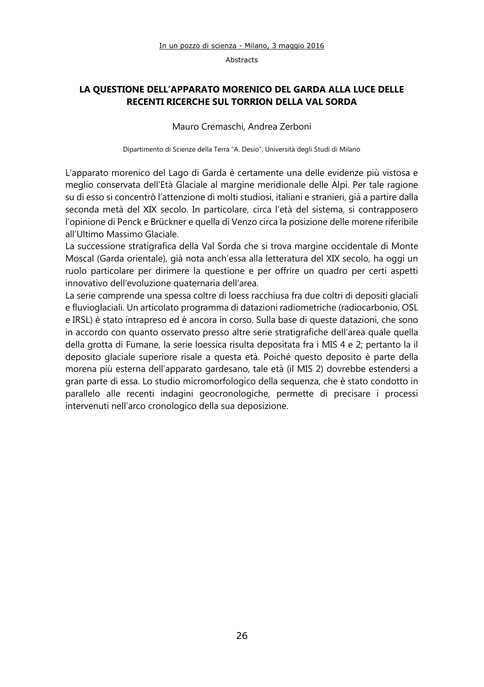## **LA QUESTIONE DELL'APPARATO MORENICO DEL GARDA ALLA LUCE DELLE RECENTI RICERCHE SUL TORRION DELLA VAL SORDA**

#### Mauro Cremaschi, Andrea Zerboni

Dipartimento di Scienze della Terra "A. Desio", Università degli Studi di Milano

L'apparato morenico del Lago di Garda è certamente una delle evidenze più vistosa e meglio conservata dell'Età Glaciale al margine meridionale delle Alpi. Per tale ragione su di esso si concentrò l'attenzione di molti studiosi, italiani e stranieri, già a partire dalla seconda metà del XIX secolo. In particolare, circa l'età del sistema, si contrapposero l'opinione di Penck e Brückner e quella di Venzo circa la posizione delle morene riferibile all'Ultimo Massimo Glaciale.

La successione stratigrafica della Val Sorda che si trova margine occidentale di Monte Moscal (Garda orientale), già nota anch'essa alla letteratura del XIX secolo, ha oggi un ruolo particolare per dirimere la questione e per offrire un quadro per certi aspetti innovativo dell'evoluzione quaternaria dell'area.

La serie comprende una spessa coltre di loess racchiusa fra due coltri di depositi glaciali e fluvioglaciali. Un articolato programma di datazioni radiometriche (radiocarbonio, OSL e IRSL) è stato intrapreso ed è ancora in corso. Sulla base di queste datazioni, che sono in accordo con quanto osservato presso altre serie stratigrafiche dell'area quale quella della grotta di Fumane, la serie loessica risulta depositata fra i MIS 4 e 2; pertanto la il deposito glaciale superiore risale a questa età. Poiché questo deposito è parte della morena più esterna dell'apparato gardesano, tale età (il MIS 2) dovrebbe estendersi a gran parte di essa. Lo studio micromorfologico della sequenza, che è stato condotto in parallelo alle recenti indagini geocronologiche, permette di precisare i processi intervenuti nell'arco cronologico della sua deposizione.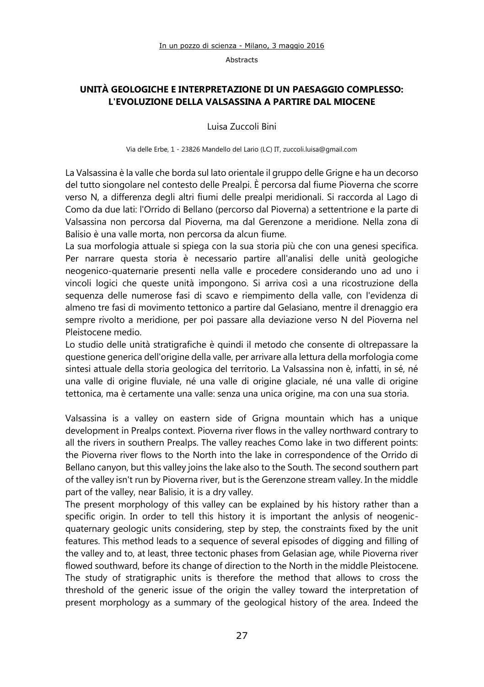## **UNITÀ GEOLOGICHE E INTERPRETAZIONE DI UN PAESAGGIO COMPLESSO: L'EVOLUZIONE DELLA VALSASSINA A PARTIRE DAL MIOCENE**

Luisa Zuccoli Bini

Via delle Erbe, 1 - 23826 Mandello del Lario (LC) IT, zuccoli.luisa@gmail.com

La Valsassina è la valle che borda sul lato orientale il gruppo delle Grigne e ha un decorso del tutto siongolare nel contesto delle Prealpi. È percorsa dal fiume Pioverna che scorre verso N, a differenza degli altri fiumi delle prealpi meridionali. Si raccorda al Lago di Como da due lati: l'Orrido di Bellano (percorso dal Pioverna) a settentrione e la parte di Valsassina non percorsa dal Pioverna, ma dal Gerenzone a meridione. Nella zona di Balisio è una valle morta, non percorsa da alcun fiume.

La sua morfologia attuale si spiega con la sua storia più che con una genesi specifica. Per narrare questa storia è necessario partire all'analisi delle unità geologiche neogenico-quaternarie presenti nella valle e procedere considerando uno ad uno i vincoli logici che queste unità impongono. Si arriva così a una ricostruzione della sequenza delle numerose fasi di scavo e riempimento della valle, con l'evidenza di almeno tre fasi di movimento tettonico a partire dal Gelasiano, mentre il drenaggio era sempre rivolto a meridione, per poi passare alla deviazione verso N del Pioverna nel Pleistocene medio.

Lo studio delle unità stratigrafiche è quindi il metodo che consente di oltrepassare la questione generica dell'origine della valle, per arrivare alla lettura della morfologia come sintesi attuale della storia geologica del territorio. La Valsassina non è, infatti, in sé, né una valle di origine fluviale, né una valle di origine glaciale, né una valle di origine tettonica, ma è certamente una valle: senza una unica origine, ma con una sua storia.

Valsassina is a valley on eastern side of Grigna mountain which has a unique development in Prealps context. Pioverna river flows in the valley northward contrary to all the rivers in southern Prealps. The valley reaches Como lake in two different points: the Pioverna river flows to the North into the lake in correspondence of the Orrido di Bellano canyon, but this valley joins the lake also to the South. The second southern part of the valley isn't run by Pioverna river, but is the Gerenzone stream valley. In the middle part of the valley, near Balisio, it is a dry valley.

The present morphology of this valley can be explained by his history rather than a specific origin. In order to tell this history it is important the anlysis of neogenicquaternary geologic units considering, step by step, the constraints fixed by the unit features. This method leads to a sequence of several episodes of digging and filling of the valley and to, at least, three tectonic phases from Gelasian age, while Pioverna river flowed southward, before its change of direction to the North in the middle Pleistocene. The study of stratigraphic units is therefore the method that allows to cross the threshold of the generic issue of the origin the valley toward the interpretation of present morphology as a summary of the geological history of the area. Indeed the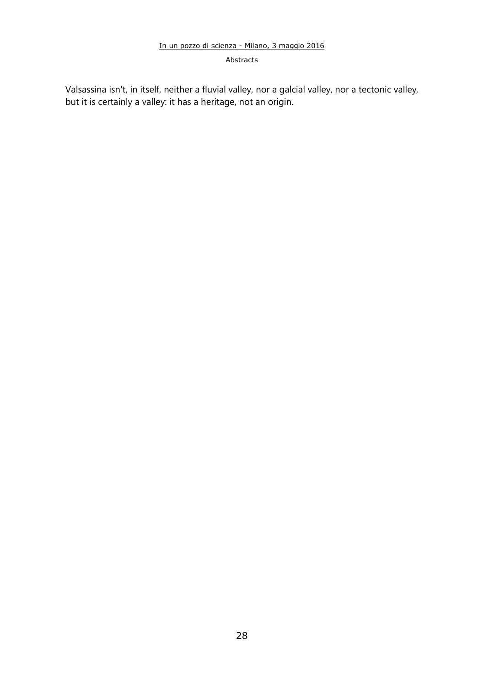#### Abstracts

Valsassina isn't, in itself, neither a fluvial valley, nor a galcial valley, nor a tectonic valley, but it is certainly a valley: it has a heritage, not an origin.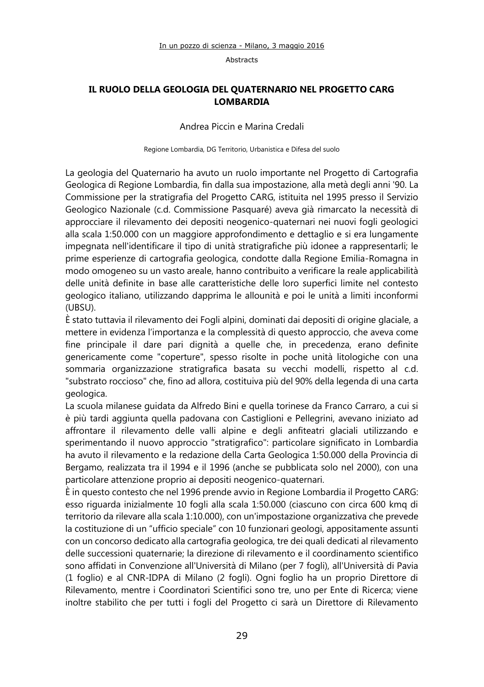## **IL RUOLO DELLA GEOLOGIA DEL QUATERNARIO NEL PROGETTO CARG LOMBARDIA**

#### Andrea Piccin e Marina Credali

Regione Lombardia, DG Territorio, Urbanistica e Difesa del suolo

La geologia del Quaternario ha avuto un ruolo importante nel Progetto di Cartografia Geologica di Regione Lombardia, fin dalla sua impostazione, alla metà degli anni '90. La Commissione per la stratigrafia del Progetto CARG, istituita nel 1995 presso il Servizio Geologico Nazionale (c.d. Commissione Pasquaré) aveva già rimarcato la necessità di approcciare il rilevamento dei depositi neogenico-quaternari nei nuovi fogli geologici alla scala 1:50.000 con un maggiore approfondimento e dettaglio e si era lungamente impegnata nell'identificare il tipo di unità stratigrafiche più idonee a rappresentarli; le prime esperienze di cartografia geologica, condotte dalla Regione Emilia-Romagna in modo omogeneo su un vasto areale, hanno contribuito a verificare la reale applicabilità delle unità definite in base alle caratteristiche delle loro superfici limite nel contesto geologico italiano, utilizzando dapprima le allounità e poi le unità a limiti inconformi (UBSU).

È stato tuttavia il rilevamento dei Fogli alpini, dominati dai depositi di origine glaciale, a mettere in evidenza l'importanza e la complessità di questo approccio, che aveva come fine principale il dare pari dignità a quelle che, in precedenza, erano definite genericamente come "coperture", spesso risolte in poche unità litologiche con una sommaria organizzazione stratigrafica basata su vecchi modelli, rispetto al c.d. "substrato roccioso" che, fino ad allora, costituiva più del 90% della legenda di una carta geologica.

La scuola milanese guidata da Alfredo Bini e quella torinese da Franco Carraro, a cui si è più tardi aggiunta quella padovana con Castiglioni e Pellegrini, avevano iniziato ad affrontare il rilevamento delle valli alpine e degli anfiteatri glaciali utilizzando e sperimentando il nuovo approccio "stratigrafico": particolare significato in Lombardia ha avuto il rilevamento e la redazione della Carta Geologica 1:50.000 della Provincia di Bergamo, realizzata tra il 1994 e il 1996 (anche se pubblicata solo nel 2000), con una particolare attenzione proprio ai depositi neogenico-quaternari.

È in questo contesto che nel 1996 prende avvio in Regione Lombardia il Progetto CARG: esso riguarda inizialmente 10 fogli alla scala 1:50.000 (ciascuno con circa 600 kmq di territorio da rilevare alla scala 1:10.000), con un'impostazione organizzativa che prevede la costituzione di un "ufficio speciale" con 10 funzionari geologi, appositamente assunti con un concorso dedicato alla cartografia geologica, tre dei quali dedicati al rilevamento delle successioni quaternarie; la direzione di rilevamento e il coordinamento scientifico sono affidati in Convenzione all'Università di Milano (per 7 fogli), all'Università di Pavia (1 foglio) e al CNR-IDPA di Milano (2 fogli). Ogni foglio ha un proprio Direttore di Rilevamento, mentre i Coordinatori Scientifici sono tre, uno per Ente di Ricerca; viene inoltre stabilito che per tutti i fogli del Progetto ci sarà un Direttore di Rilevamento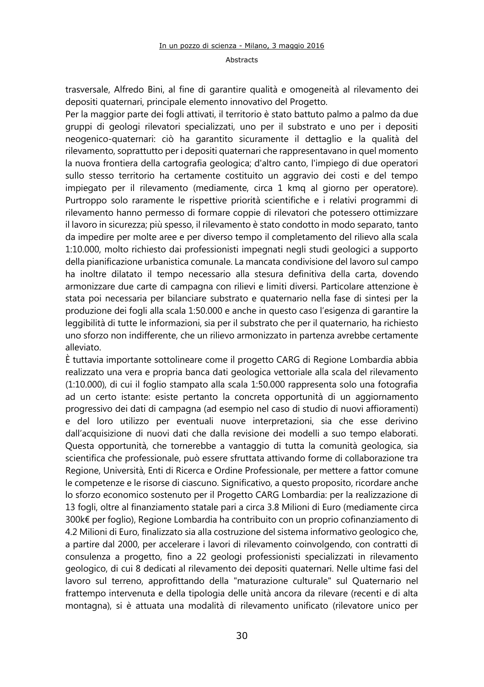#### Abstracts

trasversale, Alfredo Bini, al fine di garantire qualità e omogeneità al rilevamento dei depositi quaternari, principale elemento innovativo del Progetto.

Per la maggior parte dei fogli attivati, il territorio è stato battuto palmo a palmo da due gruppi di geologi rilevatori specializzati, uno per il substrato e uno per i depositi neogenico-quaternari: ciò ha garantito sicuramente il dettaglio e la qualità del rilevamento, soprattutto per i depositi quaternari che rappresentavano in quel momento la nuova frontiera della cartografia geologica; d'altro canto, l'impiego di due operatori sullo stesso territorio ha certamente costituito un aggravio dei costi e del tempo impiegato per il rilevamento (mediamente, circa 1 kmq al giorno per operatore). Purtroppo solo raramente le rispettive priorità scientifiche e i relativi programmi di rilevamento hanno permesso di formare coppie di rilevatori che potessero ottimizzare il lavoro in sicurezza; più spesso, il rilevamento è stato condotto in modo separato, tanto da impedire per molte aree e per diverso tempo il completamento del rilievo alla scala 1:10.000, molto richiesto dai professionisti impegnati negli studi geologici a supporto della pianificazione urbanistica comunale. La mancata condivisione del lavoro sul campo ha inoltre dilatato il tempo necessario alla stesura definitiva della carta, dovendo armonizzare due carte di campagna con rilievi e limiti diversi. Particolare attenzione è stata poi necessaria per bilanciare substrato e quaternario nella fase di sintesi per la produzione dei fogli alla scala 1:50.000 e anche in questo caso l'esigenza di garantire la leggibilità di tutte le informazioni, sia per il substrato che per il quaternario, ha richiesto uno sforzo non indifferente, che un rilievo armonizzato in partenza avrebbe certamente alleviato.

È tuttavia importante sottolineare come il progetto CARG di Regione Lombardia abbia realizzato una vera e propria banca dati geologica vettoriale alla scala del rilevamento (1:10.000), di cui il foglio stampato alla scala 1:50.000 rappresenta solo una fotografia ad un certo istante: esiste pertanto la concreta opportunità di un aggiornamento progressivo dei dati di campagna (ad esempio nel caso di studio di nuovi affioramenti) e del loro utilizzo per eventuali nuove interpretazioni, sia che esse derivino dall'acquisizione di nuovi dati che dalla revisione dei modelli a suo tempo elaborati. Questa opportunità, che tornerebbe a vantaggio di tutta la comunità geologica, sia scientifica che professionale, può essere sfruttata attivando forme di collaborazione tra Regione, Università, Enti di Ricerca e Ordine Professionale, per mettere a fattor comune le competenze e le risorse di ciascuno. Significativo, a questo proposito, ricordare anche lo sforzo economico sostenuto per il Progetto CARG Lombardia: per la realizzazione di 13 fogli, oltre al finanziamento statale pari a circa 3.8 Milioni di Euro (mediamente circa 300k€ per foglio), Regione Lombardia ha contribuito con un proprio cofinanziamento di 4.2 Milioni di Euro, finalizzato sia alla costruzione del sistema informativo geologico che, a partire dal 2000, per accelerare i lavori di rilevamento coinvolgendo, con contratti di consulenza a progetto, fino a 22 geologi professionisti specializzati in rilevamento geologico, di cui 8 dedicati al rilevamento dei depositi quaternari. Nelle ultime fasi del lavoro sul terreno, approfittando della "maturazione culturale" sul Quaternario nel frattempo intervenuta e della tipologia delle unità ancora da rilevare (recenti e di alta montagna), si è attuata una modalità di rilevamento unificato (rilevatore unico per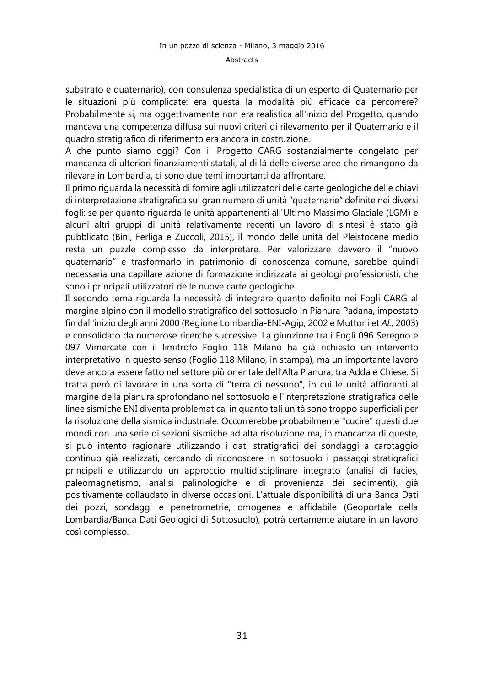substrato e quaternario), con consulenza specialistica di un esperto di Quaternario per le situazioni più complicate: era questa la modalità più efficace da percorrere? Probabilmente si, ma oggettivamente non era realistica all'inizio del Progetto, quando mancava una competenza diffusa sui nuovi criteri di rilevamento per il Quaternario e il quadro stratigrafico di riferimento era ancora in costruzione.

A che punto siamo oggi? Con il Progetto CARG sostanzialmente congelato per mancanza di ulteriori finanziamenti statali, al di là delle diverse aree che rimangono da rilevare in Lombardia, ci sono due temi importanti da affrontare.

Il primo riguarda la necessità di fornire agli utilizzatori delle carte geologiche delle chiavi di interpretazione stratigrafica sul gran numero di unità "quaternarie" definite nei diversi fogli: se per quanto riguarda le unità appartenenti all'Ultimo Massimo Glaciale (LGM) e alcuni altri gruppi di unità relativamente recenti un lavoro di sintesi è stato già pubblicato (Bini, Ferliga e Zuccoli, 2015), il mondo delle unità del Pleistocene medio resta un puzzle complesso da interpretare. Per valorizzare davvero il "nuovo quaternario" e trasformarlo in patrimonio di conoscenza comune, sarebbe quindi necessaria una capillare azione di formazione indirizzata ai geologi professionisti, che sono i principali utilizzatori delle nuove carte geologiche.

Il secondo tema riguarda la necessità di integrare quanto definito nei Fogli CARG al margine alpino con il modello stratigrafico del sottosuolo in Pianura Padana, impostato fin dall'inizio degli anni 2000 (Regione Lombardia-ENI-Agip, 2002 e Muttoni et *Al.,* 2003) e consolidato da numerose ricerche successive. La giunzione tra i Fogli 096 Seregno e 097 Vimercate con il limitrofo Foglio 118 Milano ha già richiesto un intervento interpretativo in questo senso (Foglio 118 Milano, in stampa), ma un importante lavoro deve ancora essere fatto nel settore più orientale dell'Alta Pianura, tra Adda e Chiese. Si tratta però di lavorare in una sorta di "terra di nessuno", in cui le unità affioranti al margine della pianura sprofondano nel sottosuolo e l'interpretazione stratigrafica delle linee sismiche ENI diventa problematica, in quanto tali unità sono troppo superficiali per la risoluzione della sismica industriale. Occorrerebbe probabilmente "cucire" questi due mondi con una serie di sezioni sismiche ad alta risoluzione ma, in mancanza di queste, si può intento ragionare utilizzando i dati stratigrafici dei sondaggi a carotaggio continuo già realizzati, cercando di riconoscere in sottosuolo i passaggi stratigrafici principali e utilizzando un approccio multidisciplinare integrato (analisi di facies, paleomagnetismo, analisi palinologiche e di provenienza dei sedimenti), già positivamente collaudato in diverse occasioni. L'attuale disponibilità di una Banca Dati dei pozzi, sondaggi e penetrometrie, omogenea e affidabile (Geoportale della Lombardia/Banca Dati Geologici di Sottosuolo), potrà certamente aiutare in un lavoro così complesso.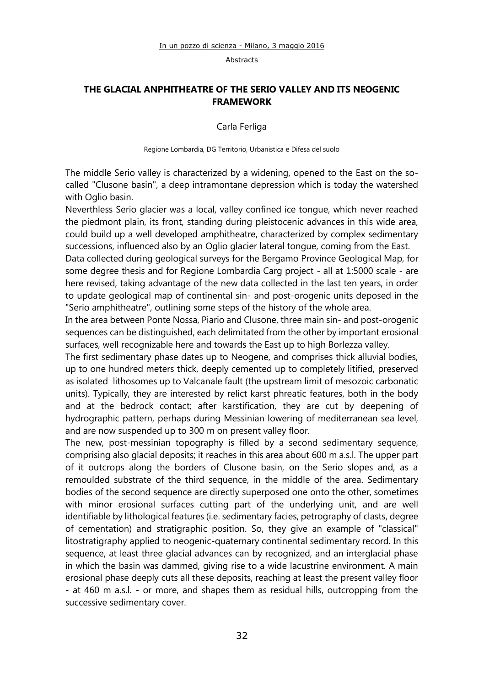## **THE GLACIAL ANPHITHEATRE OF THE SERIO VALLEY AND ITS NEOGENIC FRAMEWORK**

Carla Ferliga

Regione Lombardia, DG Territorio, Urbanistica e Difesa del suolo

The middle Serio valley is characterized by a widening, opened to the East on the socalled "Clusone basin", a deep intramontane depression which is today the watershed with Oglio basin.

Neverthless Serio glacier was a local, valley confined ice tongue, which never reached the piedmont plain, its front, standing during pleistocenic advances in this wide area, could build up a well developed amphitheatre, characterized by complex sedimentary successions, influenced also by an Oglio glacier lateral tongue, coming from the East.

Data collected during geological surveys for the Bergamo Province Geological Map, for some degree thesis and for Regione Lombardia Carg project - all at 1:5000 scale - are here revised, taking advantage of the new data collected in the last ten years, in order to update geological map of continental sin- and post-orogenic units deposed in the "Serio amphitheatre", outlining some steps of the history of the whole area.

In the area between Ponte Nossa, Piario and Clusone, three main sin- and post-orogenic sequences can be distinguished, each delimitated from the other by important erosional surfaces, well recognizable here and towards the East up to high Borlezza valley.

The first sedimentary phase dates up to Neogene, and comprises thick alluvial bodies, up to one hundred meters thick, deeply cemented up to completely litified, preserved as isolated lithosomes up to Valcanale fault (the upstream limit of mesozoic carbonatic units). Typically, they are interested by relict karst phreatic features, both in the body and at the bedrock contact; after karstification, they are cut by deepening of hydrographic pattern, perhaps during Messinian lowering of mediterranean sea level, and are now suspended up to 300 m on present valley floor.

The new, post-messinian topography is filled by a second sedimentary sequence, comprising also glacial deposits; it reaches in this area about 600 m a.s.l. The upper part of it outcrops along the borders of Clusone basin, on the Serio slopes and, as a remoulded substrate of the third sequence, in the middle of the area. Sedimentary bodies of the second sequence are directly superposed one onto the other, sometimes with minor erosional surfaces cutting part of the underlying unit, and are well identifiable by lithological features (i.e. sedimentary facies, petrography of clasts, degree of cementation) and stratigraphic position. So, they give an example of "classical" litostratigraphy applied to neogenic-quaternary continental sedimentary record. In this sequence, at least three glacial advances can by recognized, and an interglacial phase in which the basin was dammed, giving rise to a wide lacustrine environment. A main erosional phase deeply cuts all these deposits, reaching at least the present valley floor - at 460 m a.s.l. - or more, and shapes them as residual hills, outcropping from the successive sedimentary cover.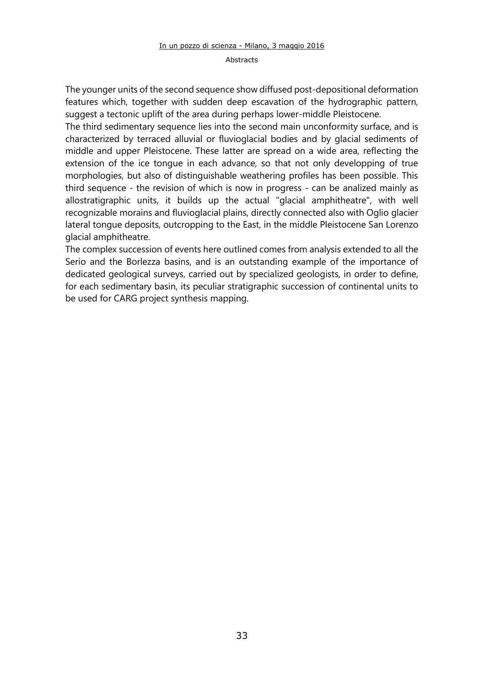#### Abstracts

The younger units of the second sequence show diffused post-depositional deformation features which, together with sudden deep escavation of the hydrographic pattern, suggest a tectonic uplift of the area during perhaps lower-middle Pleistocene.

The third sedimentary sequence lies into the second main unconformity surface, and is characterized by terraced alluvial or fluvioglacial bodies and by glacial sediments of middle and upper Pleistocene. These latter are spread on a wide area, reflecting the extension of the ice tongue in each advance, so that not only developping of true morphologies, but also of distinguishable weathering profiles has been possible. This third sequence - the revision of which is now in progress - can be analized mainly as allostratigraphic units, it builds up the actual "glacial amphitheatre", with well recognizable morains and fluvioglacial plains, directly connected also with Oglio glacier lateral tongue deposits, outcropping to the East, in the middle Pleistocene San Lorenzo glacial amphitheatre.

The complex succession of events here outlined comes from analysis extended to all the Serio and the Borlezza basins, and is an outstanding example of the importance of dedicated geological surveys, carried out by specialized geologists, in order to define, for each sedimentary basin, its peculiar stratigraphic succession of continental units to be used for CARG project synthesis mapping.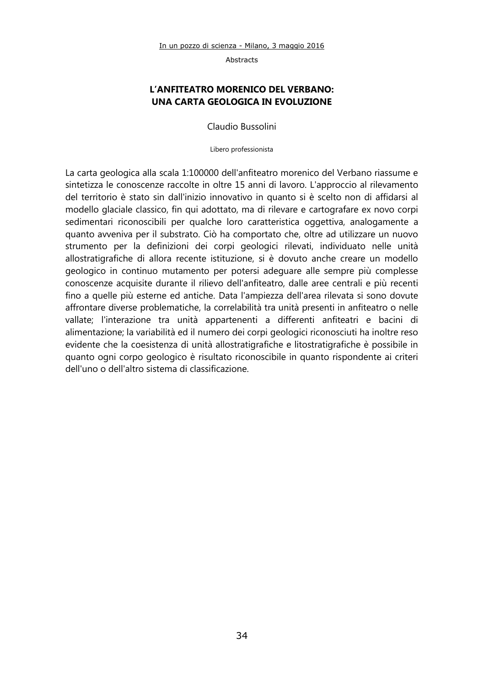## **L'ANFITEATRO MORENICO DEL VERBANO: UNA CARTA GEOLOGICA IN EVOLUZIONE**

Claudio Bussolini

Libero professionista

La carta geologica alla scala 1:100000 dell'anfiteatro morenico del Verbano riassume e sintetizza le conoscenze raccolte in oltre 15 anni di lavoro. L'approccio al rilevamento del territorio è stato sin dall'inizio innovativo in quanto si è scelto non di affidarsi al modello glaciale classico, fin qui adottato, ma di rilevare e cartografare ex novo corpi sedimentari riconoscibili per qualche loro caratteristica oggettiva, analogamente a quanto avveniva per il substrato. Ciò ha comportato che, oltre ad utilizzare un nuovo strumento per la definizioni dei corpi geologici rilevati, individuato nelle unità allostratigrafiche di allora recente istituzione, si è dovuto anche creare un modello geologico in continuo mutamento per potersi adeguare alle sempre più complesse conoscenze acquisite durante il rilievo dell'anfiteatro, dalle aree centrali e più recenti fino a quelle più esterne ed antiche. Data l'ampiezza dell'area rilevata si sono dovute affrontare diverse problematiche, la correlabilità tra unità presenti in anfiteatro o nelle vallate; l'interazione tra unità appartenenti a differenti anfiteatri e bacini di alimentazione; la variabilità ed il numero dei corpi geologici riconosciuti ha inoltre reso evidente che la coesistenza di unità allostratigrafiche e litostratigrafiche è possibile in quanto ogni corpo geologico è risultato riconoscibile in quanto rispondente ai criteri dell'uno o dell'altro sistema di classificazione.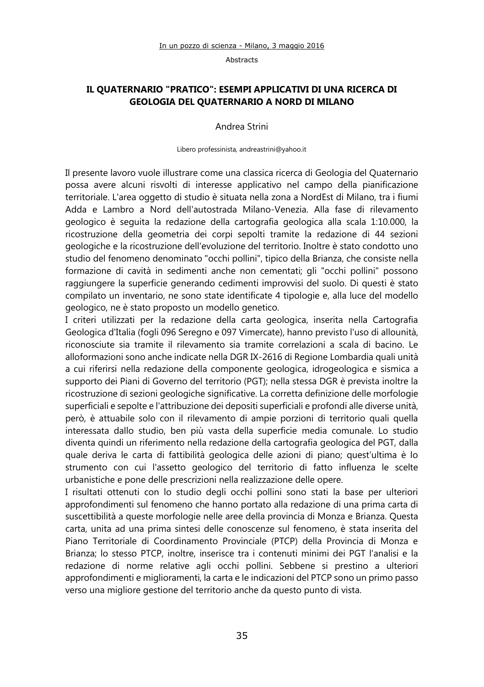## **IL QUATERNARIO "PRATICO": ESEMPI APPLICATIVI DI UNA RICERCA DI GEOLOGIA DEL QUATERNARIO A NORD DI MILANO**

Andrea Strini

Libero professinista, andreastrini@yahoo.it

Il presente lavoro vuole illustrare come una classica ricerca di Geologia del Quaternario possa avere alcuni risvolti di interesse applicativo nel campo della pianificazione territoriale. L'area oggetto di studio è situata nella zona a NordEst di Milano, tra i fiumi Adda e Lambro a Nord dell'autostrada Milano-Venezia. Alla fase di rilevamento geologico è seguita la redazione della cartografia geologica alla scala 1:10.000, la ricostruzione della geometria dei corpi sepolti tramite la redazione di 44 sezioni geologiche e la ricostruzione dell'evoluzione del territorio. Inoltre è stato condotto uno studio del fenomeno denominato "occhi pollini", tipico della Brianza, che consiste nella formazione di cavità in sedimenti anche non cementati; gli "occhi pollini" possono raggiungere la superficie generando cedimenti improvvisi del suolo. Di questi è stato compilato un inventario, ne sono state identificate 4 tipologie e, alla luce del modello geologico, ne è stato proposto un modello genetico.

I criteri utilizzati per la redazione della carta geologica, inserita nella Cartografia Geologica d'Italia (fogli 096 Seregno e 097 Vimercate), hanno previsto l'uso di allounità, riconosciute sia tramite il rilevamento sia tramite correlazioni a scala di bacino. Le alloformazioni sono anche indicate nella DGR IX-2616 di Regione Lombardia quali unità a cui riferirsi nella redazione della componente geologica, idrogeologica e sismica a supporto dei Piani di Governo del territorio (PGT); nella stessa DGR è prevista inoltre la ricostruzione di sezioni geologiche significative. La corretta definizione delle morfologie superficiali e sepolte e l'attribuzione dei depositi superficiali e profondi alle diverse unità, però, è attuabile solo con il rilevamento di ampie porzioni di territorio quali quella interessata dallo studio, ben più vasta della superficie media comunale. Lo studio diventa quindi un riferimento nella redazione della cartografia geologica del PGT, dalla quale deriva le carta di fattibilità geologica delle azioni di piano; quest'ultima è lo strumento con cui l'assetto geologico del territorio di fatto influenza le scelte urbanistiche e pone delle prescrizioni nella realizzazione delle opere.

I risultati ottenuti con lo studio degli occhi pollini sono stati la base per ulteriori approfondimenti sul fenomeno che hanno portato alla redazione di una prima carta di suscettibilità a queste morfologie nelle aree della provincia di Monza e Brianza. Questa carta, unita ad una prima sintesi delle conoscenze sul fenomeno, è stata inserita del Piano Territoriale di Coordinamento Provinciale (PTCP) della Provincia di Monza e Brianza; lo stesso PTCP, inoltre, inserisce tra i contenuti minimi dei PGT l'analisi e la redazione di norme relative agli occhi pollini. Sebbene si prestino a ulteriori approfondimenti e miglioramenti, la carta e le indicazioni del PTCP sono un primo passo verso una migliore gestione del territorio anche da questo punto di vista.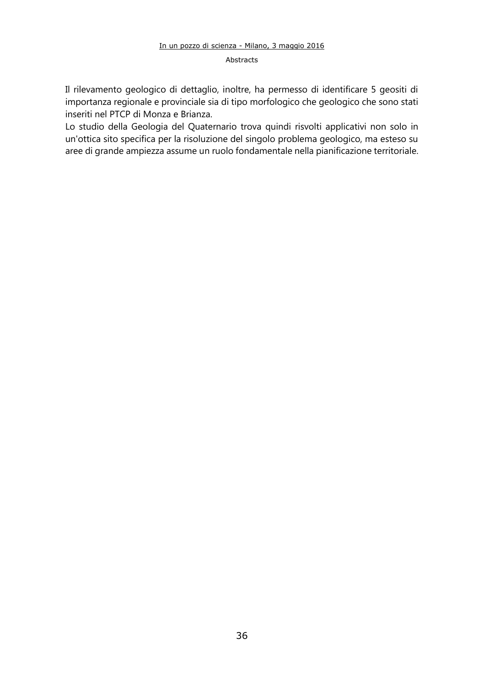Il rilevamento geologico di dettaglio, inoltre, ha permesso di identificare 5 geositi di importanza regionale e provinciale sia di tipo morfologico che geologico che sono stati inseriti nel PTCP di Monza e Brianza.

Lo studio della Geologia del Quaternario trova quindi risvolti applicativi non solo in un'ottica sito specifica per la risoluzione del singolo problema geologico, ma esteso su aree di grande ampiezza assume un ruolo fondamentale nella pianificazione territoriale.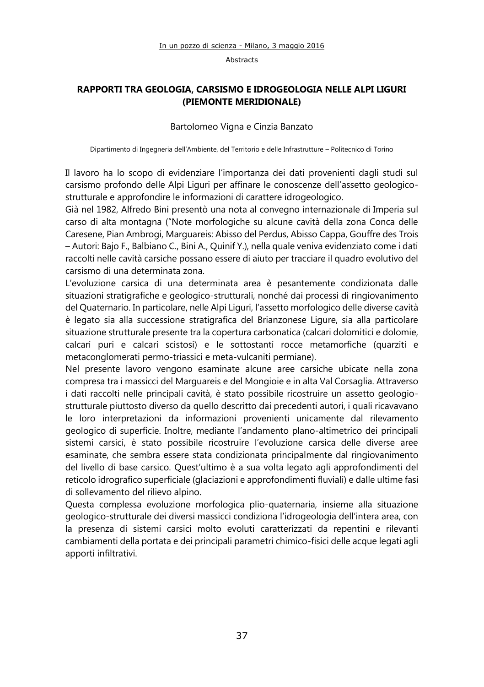## **RAPPORTI TRA GEOLOGIA, CARSISMO E IDROGEOLOGIA NELLE ALPI LIGURI (PIEMONTE MERIDIONALE)**

#### Bartolomeo Vigna e Cinzia Banzato

Dipartimento di Ingegneria dell'Ambiente, del Territorio e delle Infrastrutture – Politecnico di Torino

Il lavoro ha lo scopo di evidenziare l'importanza dei dati provenienti dagli studi sul carsismo profondo delle Alpi Liguri per affinare le conoscenze dell'assetto geologicostrutturale e approfondire le informazioni di carattere idrogeologico.

Già nel 1982, Alfredo Bini presentò una nota al convegno internazionale di Imperia sul carso di alta montagna ("Note morfologiche su alcune cavità della zona Conca delle Caresene, Pian Ambrogi, Marguareis: Abisso del Perdus, Abisso Cappa, Gouffre des Trois – Autori: Bajo F., Balbiano C., Bini A., Quinif Y.), nella quale veniva evidenziato come i dati raccolti nelle cavità carsiche possano essere di aiuto per tracciare il quadro evolutivo del carsismo di una determinata zona.

L'evoluzione carsica di una determinata area è pesantemente condizionata dalle situazioni stratigrafiche e geologico-strutturali, nonché dai processi di ringiovanimento del Quaternario. In particolare, nelle Alpi Liguri, l'assetto morfologico delle diverse cavità è legato sia alla successione stratigrafica del Brianzonese Ligure, sia alla particolare situazione strutturale presente tra la copertura carbonatica (calcari dolomitici e dolomie, calcari puri e calcari scistosi) e le sottostanti rocce metamorfiche (quarziti e metaconglomerati permo-triassici e meta-vulcaniti permiane).

Nel presente lavoro vengono esaminate alcune aree carsiche ubicate nella zona compresa tra i massicci del Marguareis e del Mongioie e in alta Val Corsaglia. Attraverso i dati raccolti nelle principali cavità, è stato possibile ricostruire un assetto geologiostrutturale piuttosto diverso da quello descritto dai precedenti autori, i quali ricavavano le loro interpretazioni da informazioni provenienti unicamente dal rilevamento geologico di superficie. Inoltre, mediante l'andamento plano-altimetrico dei principali sistemi carsici, è stato possibile ricostruire l'evoluzione carsica delle diverse aree esaminate, che sembra essere stata condizionata principalmente dal ringiovanimento del livello di base carsico. Quest'ultimo è a sua volta legato agli approfondimenti del reticolo idrografico superficiale (glaciazioni e approfondimenti fluviali) e dalle ultime fasi di sollevamento del rilievo alpino.

Questa complessa evoluzione morfologica plio-quaternaria, insieme alla situazione geologico-strutturale dei diversi massicci condiziona l'idrogeologia dell'intera area, con la presenza di sistemi carsici molto evoluti caratterizzati da repentini e rilevanti cambiamenti della portata e dei principali parametri chimico-fisici delle acque legati agli apporti infiltrativi.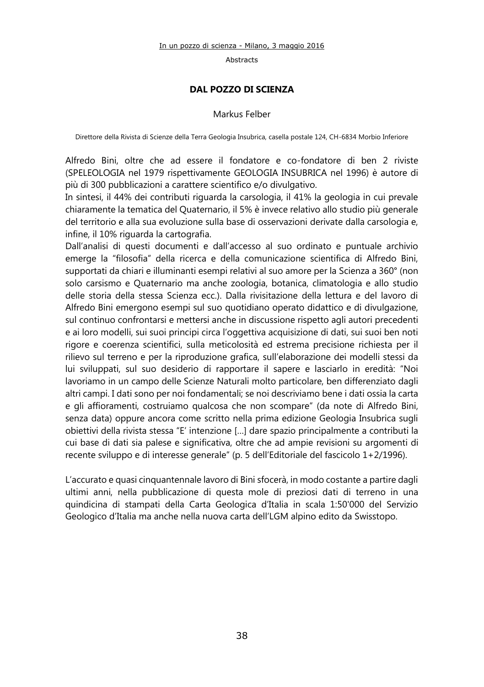#### **DAL POZZO DI SCIENZA**

#### Markus Felber

Direttore della Rivista di Scienze della Terra Geologia Insubrica, casella postale 124, CH-6834 Morbio Inferiore

Alfredo Bini, oltre che ad essere il fondatore e co-fondatore di ben 2 riviste (SPELEOLOGIA nel 1979 rispettivamente GEOLOGIA INSUBRICA nel 1996) è autore di più di 300 pubblicazioni a carattere scientifico e/o divulgativo.

In sintesi, il 44% dei contributi riguarda la carsologia, il 41% la geologia in cui prevale chiaramente la tematica del Quaternario, il 5% è invece relativo allo studio più generale del territorio e alla sua evoluzione sulla base di osservazioni derivate dalla carsologia e, infine, il 10% riguarda la cartografia.

Dall'analisi di questi documenti e dall'accesso al suo ordinato e puntuale archivio emerge la "filosofia" della ricerca e della comunicazione scientifica di Alfredo Bini, supportati da chiari e illuminanti esempi relativi al suo amore per la Scienza a 360° (non solo carsismo e Quaternario ma anche zoologia, botanica, climatologia e allo studio delle storia della stessa Scienza ecc.). Dalla rivisitazione della lettura e del lavoro di Alfredo Bini emergono esempi sul suo quotidiano operato didattico e di divulgazione, sul continuo confrontarsi e mettersi anche in discussione rispetto agli autori precedenti e ai loro modelli, sui suoi principi circa l'oggettiva acquisizione di dati, sui suoi ben noti rigore e coerenza scientifici, sulla meticolosità ed estrema precisione richiesta per il rilievo sul terreno e per la riproduzione grafica, sull'elaborazione dei modelli stessi da lui sviluppati, sul suo desiderio di rapportare il sapere e lasciarlo in eredità: "Noi lavoriamo in un campo delle Scienze Naturali molto particolare, ben differenziato dagli altri campi. I dati sono per noi fondamentali; se noi descriviamo bene i dati ossia la carta e gli affioramenti, costruiamo qualcosa che non scompare" (da note di Alfredo Bini, senza data) oppure ancora come scritto nella prima edizione Geologia Insubrica sugli obiettivi della rivista stessa "E' intenzione […] dare spazio principalmente a contributi la cui base di dati sia palese e significativa, oltre che ad ampie revisioni su argomenti di recente sviluppo e di interesse generale" (p. 5 dell'Editoriale del fascicolo 1+2/1996).

L'accurato e quasi cinquantennale lavoro di Bini sfocerà, in modo costante a partire dagli ultimi anni, nella pubblicazione di questa mole di preziosi dati di terreno in una quindicina di stampati della Carta Geologica d'Italia in scala 1:50'000 del Servizio Geologico d'Italia ma anche nella nuova carta dell'LGM alpino edito da Swisstopo.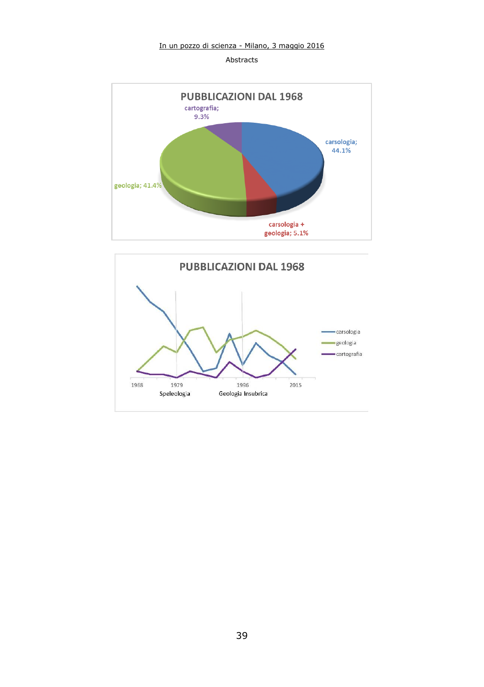



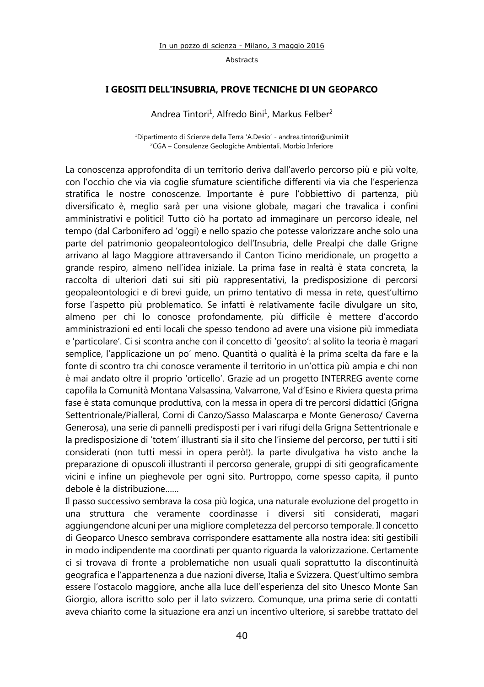#### **I GEOSITI DELL'INSUBRIA, PROVE TECNICHE DI UN GEOPARCO**

Andrea Tintori<sup>1</sup>, Alfredo Bini<sup>1</sup>, Markus Felber<sup>2</sup>

<sup>1</sup>Dipartimento di Scienze della Terra 'A.Desio' - [andrea.tintori@unimi.it](mailto:andrea.tintori@unimi.it) <sup>2</sup>CGA – Consulenze Geologiche Ambientali, Morbio Inferiore

La conoscenza approfondita di un territorio deriva dall'averlo percorso più e più volte, con l'occhio che via via coglie sfumature scientifiche differenti via via che l'esperienza stratifica le nostre conoscenze. Importante è pure l'obbiettivo di partenza, più diversificato è, meglio sarà per una visione globale, magari che travalica i confini amministrativi e politici! Tutto ciò ha portato ad immaginare un percorso ideale, nel tempo (dal Carbonifero ad 'oggi) e nello spazio che potesse valorizzare anche solo una parte del patrimonio geopaleontologico dell'Insubria, delle Prealpi che dalle Grigne arrivano al lago Maggiore attraversando il Canton Ticino meridionale, un progetto a grande respiro, almeno nell'idea iniziale. La prima fase in realtà è stata concreta, la raccolta di ulteriori dati sui siti più rappresentativi, la predisposizione di percorsi geopaleontologici e di brevi guide, un primo tentativo di messa in rete, quest'ultimo forse l'aspetto più problematico. Se infatti è relativamente facile divulgare un sito, almeno per chi lo conosce profondamente, più difficile è mettere d'accordo amministrazioni ed enti locali che spesso tendono ad avere una visione più immediata e 'particolare'. Ci si scontra anche con il concetto di 'geosito': al solito la teoria è magari semplice, l'applicazione un po' meno. Quantità o qualità è la prima scelta da fare e la fonte di scontro tra chi conosce veramente il territorio in un'ottica più ampia e chi non è mai andato oltre il proprio 'orticello'. Grazie ad un progetto INTERREG avente come capofila la Comunità Montana Valsassina, Valvarrone, Val d'Esino e Riviera questa prima fase è stata comunque produttiva, con la messa in opera di tre percorsi didattici (Grigna Settentrionale/Pialleral, Corni di Canzo/Sasso Malascarpa e Monte Generoso/ Caverna Generosa), una serie di pannelli predisposti per i vari rifugi della Grigna Settentrionale e la predisposizione di 'totem' illustranti sia il sito che l'insieme del percorso, per tutti i siti considerati (non tutti messi in opera però!). la parte divulgativa ha visto anche la preparazione di opuscoli illustranti il percorso generale, gruppi di siti geograficamente vicini e infine un pieghevole per ogni sito. Purtroppo, come spesso capita, il punto debole è la distribuzione……

Il passo successivo sembrava la cosa più logica, una naturale evoluzione del progetto in una struttura che veramente coordinasse i diversi siti considerati, magari aggiungendone alcuni per una migliore completezza del percorso temporale. Il concetto di Geoparco Unesco sembrava corrispondere esattamente alla nostra idea: siti gestibili in modo indipendente ma coordinati per quanto riguarda la valorizzazione. Certamente ci si trovava di fronte a problematiche non usuali quali soprattutto la discontinuità geografica e l'appartenenza a due nazioni diverse, Italia e Svizzera. Quest'ultimo sembra essere l'ostacolo maggiore, anche alla luce dell'esperienza del sito Unesco Monte San Giorgio, allora iscritto solo per il lato svizzero. Comunque, una prima serie di contatti aveva chiarito come la situazione era anzi un incentivo ulteriore, si sarebbe trattato del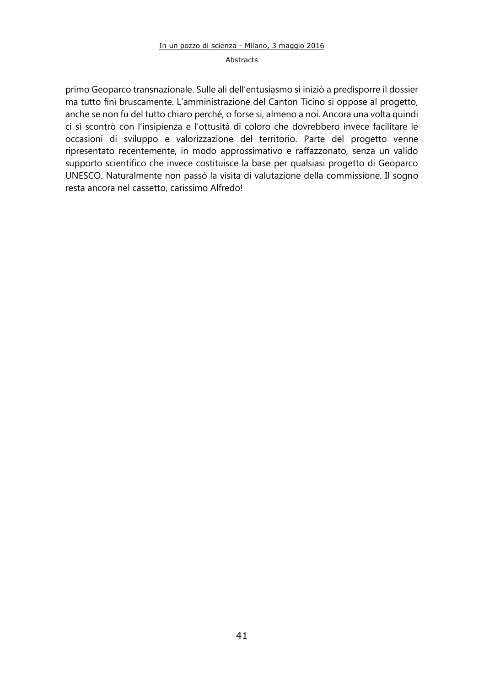#### Abstracts

primo Geoparco transnazionale. Sulle ali dell'entusiasmo si iniziò a predisporre il dossier ma tutto finì bruscamente. L'amministrazione del Canton Ticino si oppose al progetto, anche se non fu del tutto chiaro perché, o forse si, almeno a noi. Ancora una volta quindi ci si scontrò con l'insipienza e l'ottusità di coloro che dovrebbero invece facilitare le occasioni di sviluppo e valorizzazione del territorio. Parte del progetto venne ripresentato recentemente, in modo approssimativo e raffazzonato, senza un valido supporto scientifico che invece costituisce la base per qualsiasi progetto di Geoparco UNESCO. Naturalmente non passò la visita di valutazione della commissione. Il sogno resta ancora nel cassetto, carissimo Alfredo!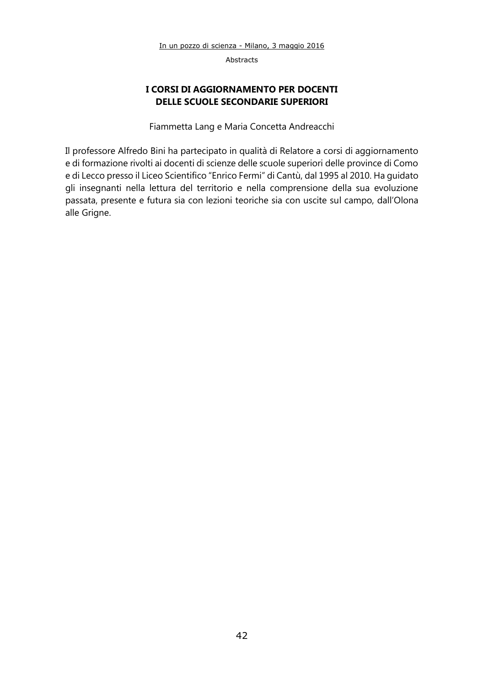## **I CORSI DI AGGIORNAMENTO PER DOCENTI DELLE SCUOLE SECONDARIE SUPERIORI**

Fiammetta Lang e Maria Concetta Andreacchi

Il professore Alfredo Bini ha partecipato in qualità di Relatore a corsi di aggiornamento e di formazione rivolti ai docenti di scienze delle scuole superiori delle province di Como e di Lecco presso il Liceo Scientifico "Enrico Fermi" di Cantù, dal 1995 al 2010. Ha guidato gli insegnanti nella lettura del territorio e nella comprensione della sua evoluzione passata, presente e futura sia con lezioni teoriche sia con uscite sul campo, dall'Olona alle Grigne.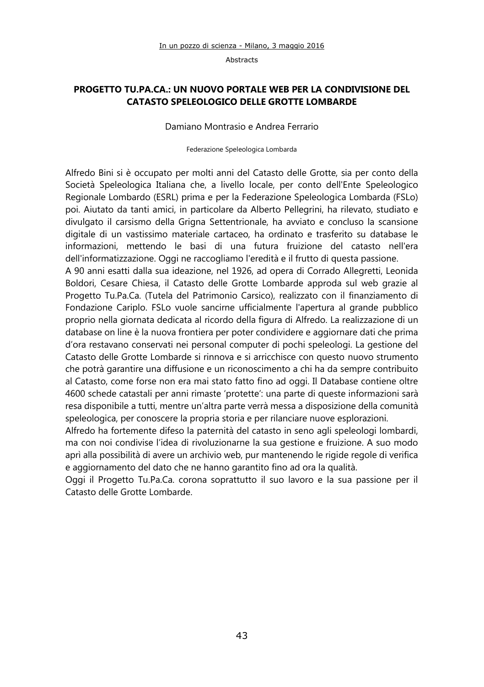## **PROGETTO TU.PA.CA.: UN NUOVO PORTALE WEB PER LA CONDIVISIONE DEL CATASTO SPELEOLOGICO DELLE GROTTE LOMBARDE**

Damiano Montrasio e Andrea Ferrario

Federazione Speleologica Lombarda

Alfredo Bini si è occupato per molti anni del Catasto delle Grotte, sia per conto della Società Speleologica Italiana che, a livello locale, per conto dell'Ente Speleologico Regionale Lombardo (ESRL) prima e per la Federazione Speleologica Lombarda (FSLo) poi. Aiutato da tanti amici, in particolare da Alberto Pellegrini, ha rilevato, studiato e divulgato il carsismo della Grigna Settentrionale, ha avviato e concluso la scansione digitale di un vastissimo materiale cartaceo, ha ordinato e trasferito su database le informazioni, mettendo le basi di una futura fruizione del catasto nell'era dell'informatizzazione. Oggi ne raccogliamo l'eredità e il frutto di questa passione.

A 90 anni esatti dalla sua ideazione, nel 1926, ad opera di Corrado Allegretti, Leonida Boldori, Cesare Chiesa, il Catasto delle Grotte Lombarde approda sul web grazie al Progetto [Tu.Pa.Ca.](http://tu.pa.ca/) (Tutela del Patrimonio Carsico), realizzato con il finanziamento di Fondazione Cariplo. FSLo vuole sancirne ufficialmente l'apertura al grande pubblico proprio nella giornata dedicata al ricordo della figura di Alfredo. La realizzazione di un database on line è la nuova frontiera per poter condividere e aggiornare dati che prima d'ora restavano conservati nei personal computer di pochi speleologi. La gestione del Catasto delle Grotte Lombarde si rinnova e si arricchisce con questo nuovo strumento che potrà garantire una diffusione e un riconoscimento a chi ha da sempre contribuito al Catasto, come forse non era mai stato fatto fino ad oggi. Il Database contiene oltre 4600 schede catastali per anni rimaste 'protette': una parte di queste informazioni sarà resa disponibile a tutti, mentre un'altra parte verrà messa a disposizione della comunità speleologica, per conoscere la propria storia e per rilanciare nuove esplorazioni.

Alfredo ha fortemente difeso la paternità del catasto in seno agli speleologi lombardi, ma con noi condivise l'idea di rivoluzionarne la sua gestione e fruizione. A suo modo aprì alla possibilità di avere un archivio web, pur mantenendo le rigide regole di verifica e aggiornamento del dato che ne hanno garantito fino ad ora la qualità.

Oggi il Progetto [Tu.Pa.Ca.](http://tu.pa.ca/) corona soprattutto il suo lavoro e la sua passione per il Catasto delle Grotte Lombarde.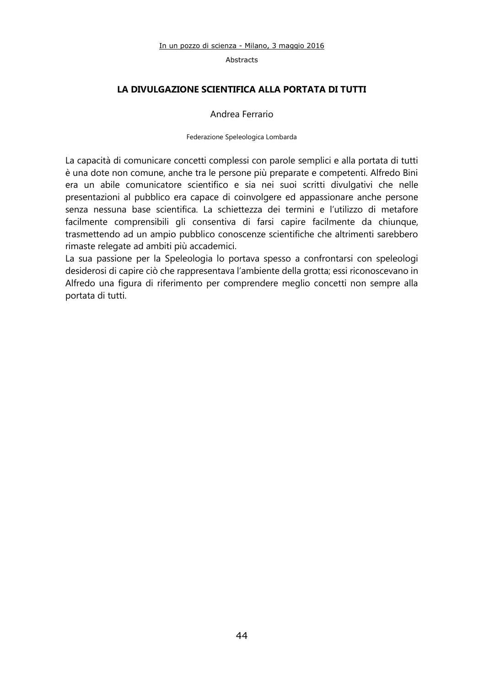## **LA DIVULGAZIONE SCIENTIFICA ALLA PORTATA DI TUTTI**

#### Andrea Ferrario

#### Federazione Speleologica Lombarda

La capacità di comunicare concetti complessi con parole semplici e alla portata di tutti è una dote non comune, anche tra le persone più preparate e competenti. Alfredo Bini era un abile comunicatore scientifico e sia nei suoi scritti divulgativi che nelle presentazioni al pubblico era capace di coinvolgere ed appassionare anche persone senza nessuna base scientifica. La schiettezza dei termini e l'utilizzo di metafore facilmente comprensibili gli consentiva di farsi capire facilmente da chiunque, trasmettendo ad un ampio pubblico conoscenze scientifiche che altrimenti sarebbero rimaste relegate ad ambiti più accademici.

La sua passione per la Speleologia lo portava spesso a confrontarsi con speleologi desiderosi di capire ciò che rappresentava l'ambiente della grotta; essi riconoscevano in Alfredo una figura di riferimento per comprendere meglio concetti non sempre alla portata di tutti.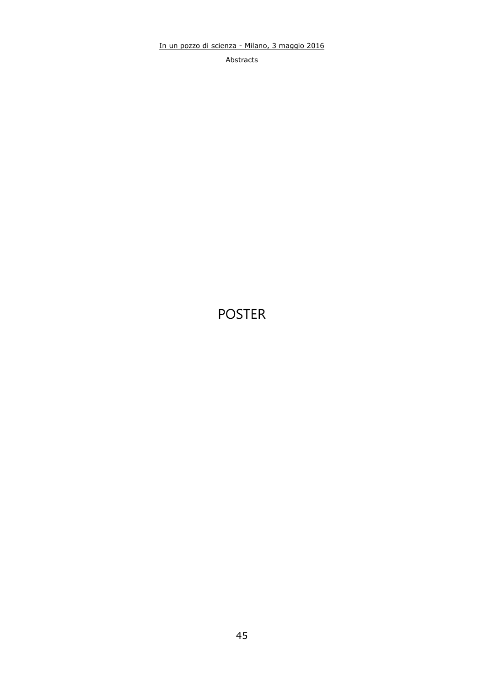Abstracts

## POSTER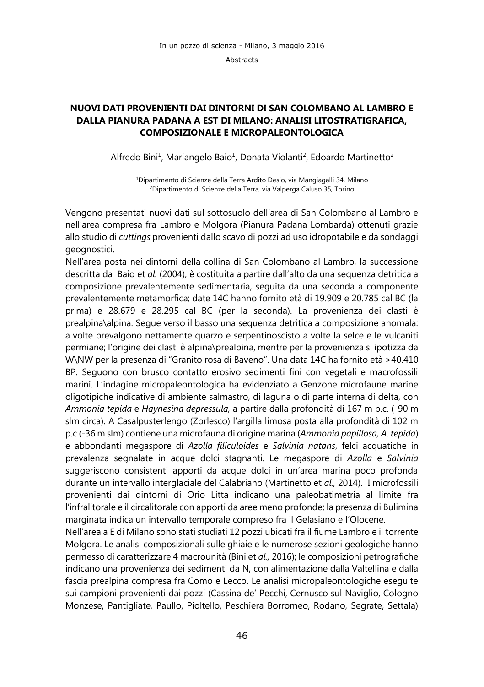## **NUOVI DATI PROVENIENTI DAI DINTORNI DI SAN COLOMBANO AL LAMBRO E DALLA PIANURA PADANA A EST DI MILANO: ANALISI LITOSTRATIGRAFICA, COMPOSIZIONALE E MICROPALEONTOLOGICA**

Alfredo Bini<sup>1</sup>, Mariangelo Baio<sup>1</sup>, Donata Violanti<sup>2</sup>, Edoardo Martinetto<sup>2</sup>

<sup>1</sup>Dipartimento di Scienze della Terra Ardito Desio, via Mangiagalli 34, Milano <sup>2</sup>Dipartimento di Scienze della Terra, via Valperga Caluso 35, Torino

Vengono presentati nuovi dati sul sottosuolo dell'area di San Colombano al Lambro e nell'area compresa fra Lambro e Molgora (Pianura Padana Lombarda) ottenuti grazie allo studio di *cuttings* provenienti dallo scavo di pozzi ad uso idropotabile e da sondaggi geognostici.

Nell'area posta nei dintorni della collina di San Colombano al Lambro, la successione descritta da Baio et *al.* (2004), è costituita a partire dall'alto da una sequenza detritica a composizione prevalentemente sedimentaria, seguita da una seconda a componente prevalentemente metamorfica; date 14C hanno fornito età di 19.909 e 20.785 cal BC (la prima) e 28.679 e 28.295 cal BC (per la seconda). La provenienza dei clasti è prealpina\alpina. Segue verso il basso una sequenza detritica a composizione anomala: a volte prevalgono nettamente quarzo e serpentinoscisto a volte la selce e le vulcaniti permiane; l'origine dei clasti è alpina\prealpina, mentre per la provenienza si ipotizza da W\NW per la presenza di "Granito rosa di Baveno". Una data 14C ha fornito età >40.410 BP. Seguono con brusco contatto erosivo sedimenti fini con vegetali e macrofossili marini. L'indagine micropaleontologica ha evidenziato a Genzone microfaune marine oligotipiche indicative di ambiente salmastro, di laguna o di parte interna di delta, con *Ammonia tepida* e *Haynesina depressula,* a partire dalla profondità di 167 m p.c. (-90 m slm circa). A Casalpusterlengo (Zorlesco) l'argilla limosa posta alla profondità di 102 m p.c (-36 m slm) contiene una microfauna di origine marina (*Ammonia papillosa, A. tepida*) e abbondanti megaspore di *Azolla filiculoides* e *Salvinia natans*, felci acquatiche in prevalenza segnalate in acque dolci stagnanti. Le megaspore di *Azolla* e *Salvinia* suggeriscono consistenti apporti da acque dolci in un'area marina poco profonda durante un intervallo interglaciale del Calabriano (Martinetto et *al.,* 2014). I microfossili provenienti dai dintorni di Orio Litta indicano una paleobatimetria al limite fra l'infralitorale e il circalitorale con apporti da aree meno profonde; la presenza di Bulimina marginata indica un intervallo temporale compreso fra il Gelasiano e l'Olocene.

Nell'area a E di Milano sono stati studiati 12 pozzi ubicati fra il fiume Lambro e il torrente Molgora. Le analisi composizionali sulle ghiaie e le numerose sezioni geologiche hanno permesso di caratterizzare 4 macrounità (Bini et *al.,* 2016); le composizioni petrografiche indicano una provenienza dei sedimenti da N, con alimentazione dalla Valtellina e dalla fascia prealpina compresa fra Como e Lecco. Le analisi micropaleontologiche eseguite sui campioni provenienti dai pozzi (Cassina de' Pecchi, Cernusco sul Naviglio, Cologno Monzese, Pantigliate, Paullo, Pioltello, Peschiera Borromeo, Rodano, Segrate, Settala)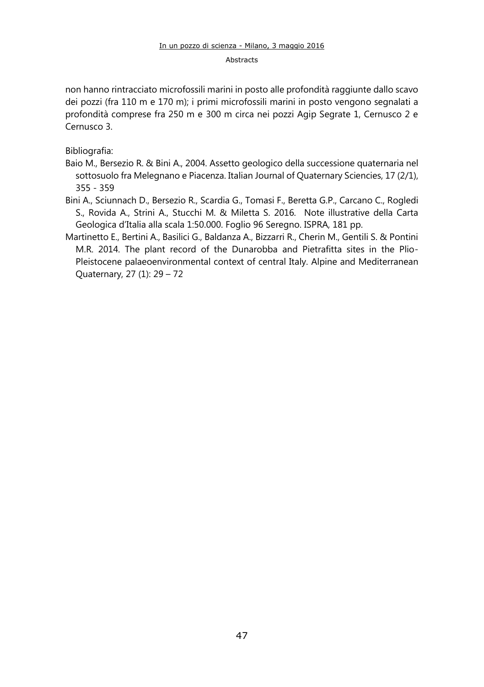non hanno rintracciato microfossili marini in posto alle profondità raggiunte dallo scavo dei pozzi (fra 110 m e 170 m); i primi microfossili marini in posto vengono segnalati a profondità comprese fra 250 m e 300 m circa nei pozzi Agip Segrate 1, Cernusco 2 e Cernusco 3.

Bibliografia:

- Baio M., Bersezio R. & Bini A., 2004. Assetto geologico della successione quaternaria nel sottosuolo fra Melegnano e Piacenza. Italian Journal of Quaternary Sciencies, 17 (2/1), 355 - 359
- Bini A., Sciunnach D., Bersezio R., Scardia G., Tomasi F., Beretta G.P., Carcano C., Rogledi S., Rovida A., Strini A., Stucchi M. & Miletta S. 2016. Note illustrative della Carta Geologica d'Italia alla scala 1:50.000. Foglio 96 Seregno. ISPRA, 181 pp.
- Martinetto E., Bertini A., Basilici G., Baldanza A., Bizzarri R., Cherin M., Gentili S. & Pontini M.R. 2014. The plant record of the Dunarobba and Pietrafitta sites in the Plio-Pleistocene palaeoenvironmental context of central Italy. Alpine and Mediterranean Quaternary, 27 (1): 29 – 72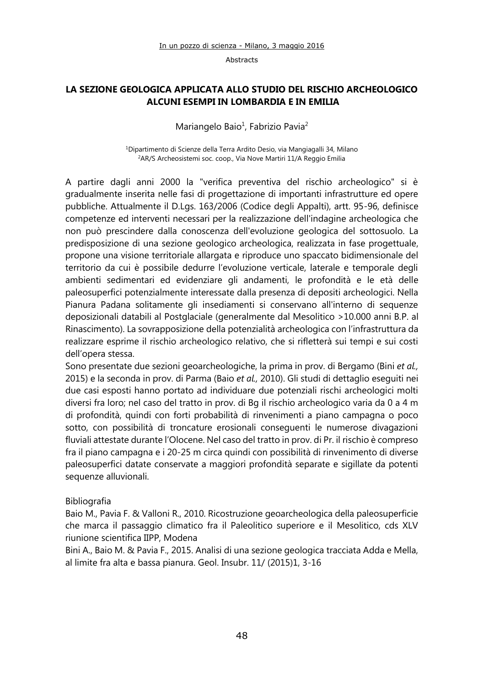## **LA SEZIONE GEOLOGICA APPLICATA ALLO STUDIO DEL RISCHIO ARCHEOLOGICO ALCUNI ESEMPI IN LOMBARDIA E IN EMILIA**

Mariangelo Baio<sup>1</sup>, Fabrizio Pavia<sup>2</sup>

<sup>1</sup>Dipartimento di Scienze della Terra Ardito Desio, via Mangiagalli 34, Milano <sup>2</sup>AR/S Archeosistemi soc. coop., Via Nove Martiri 11/A Reggio Emilia

A partire dagli anni 2000 la "verifica preventiva del rischio archeologico" si è gradualmente inserita nelle fasi di progettazione di importanti infrastrutture ed opere pubbliche. Attualmente il D.Lgs. 163/2006 (Codice degli Appalti), artt. 95-96, definisce competenze ed interventi necessari per la realizzazione dell'indagine archeologica che non può prescindere dalla conoscenza dell'evoluzione geologica del sottosuolo. La predisposizione di una sezione geologico archeologica, realizzata in fase progettuale, propone una visione territoriale allargata e riproduce uno spaccato bidimensionale del territorio da cui è possibile dedurre l'evoluzione verticale, laterale e temporale degli ambienti sedimentari ed evidenziare gli andamenti, le profondità e le età delle paleosuperfici potenzialmente interessate dalla presenza di depositi archeologici. Nella Pianura Padana solitamente gli insediamenti si conservano all'interno di sequenze deposizionali databili al Postglaciale (generalmente dal Mesolitico >10.000 anni B.P. al Rinascimento). La sovrapposizione della potenzialità archeologica con l'infrastruttura da realizzare esprime il rischio archeologico relativo, che si rifletterà sui tempi e sui costi dell'opera stessa.

Sono presentate due sezioni geoarcheologiche, la prima in prov. di Bergamo (Bini *et al.,* 2015) e la seconda in prov. di Parma (Baio *et al.,* 2010). Gli studi di dettaglio eseguiti nei due casi esposti hanno portato ad individuare due potenziali rischi archeologici molti diversi fra loro; nel caso del tratto in prov. di Bg il rischio archeologico varia da 0 a 4 m di profondità, quindi con forti probabilità di rinvenimenti a piano campagna o poco sotto, con possibilità di troncature erosionali conseguenti le numerose divagazioni fluviali attestate durante l'Olocene. Nel caso del tratto in prov. di Pr. il rischio è compreso fra il piano campagna e i 20-25 m circa quindi con possibilità di rinvenimento di diverse paleosuperfici datate conservate a maggiori profondità separate e sigillate da potenti sequenze alluvionali.

## Bibliografia

Baio M., Pavia F. & Valloni R., 2010. Ricostruzione geoarcheologica della paleosuperficie che marca il passaggio climatico fra il Paleolitico superiore e il Mesolitico, cds XLV riunione scientifica IIPP, Modena

Bini A., Baio M. & Pavia F., 2015. Analisi di una sezione geologica tracciata Adda e Mella, al limite fra alta e bassa pianura. Geol. Insubr. 11/ (2015)1, 3-16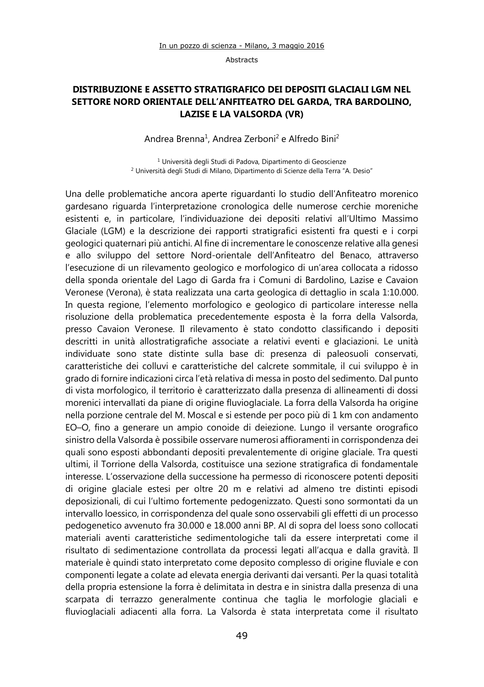## **DISTRIBUZIONE E ASSETTO STRATIGRAFICO DEI DEPOSITI GLACIALI LGM NEL SETTORE NORD ORIENTALE DELL'ANFITEATRO DEL GARDA, TRA BARDOLINO, LAZISE E LA VALSORDA (VR)**

Andrea Brenna<sup>1</sup>, Andrea Zerboni<sup>2</sup> e Alfredo Bini<sup>2</sup>

<sup>1</sup> Università degli Studi di Padova, Dipartimento di Geoscienze <sup>2</sup> Università degli Studi di Milano, Dipartimento di Scienze della Terra "A. Desio"

Una delle problematiche ancora aperte riguardanti lo studio dell'Anfiteatro morenico gardesano riguarda l'interpretazione cronologica delle numerose cerchie moreniche esistenti e, in particolare, l'individuazione dei depositi relativi all'Ultimo Massimo Glaciale (LGM) e la descrizione dei rapporti stratigrafici esistenti fra questi e i corpi geologici quaternari più antichi. Al fine di incrementare le conoscenze relative alla genesi e allo sviluppo del settore Nord-orientale dell'Anfiteatro del Benaco, attraverso l'esecuzione di un rilevamento geologico e morfologico di un'area collocata a ridosso della sponda orientale del Lago di Garda fra i Comuni di Bardolino, Lazise e Cavaion Veronese (Verona), è stata realizzata una carta geologica di dettaglio in scala 1:10.000. In questa regione, l'elemento morfologico e geologico di particolare interesse nella risoluzione della problematica precedentemente esposta è la forra della Valsorda, presso Cavaion Veronese. Il rilevamento è stato condotto classificando i depositi descritti in unità allostratigrafiche associate a relativi eventi e glaciazioni. Le unità individuate sono state distinte sulla base di: presenza di paleosuoli conservati, caratteristiche dei colluvi e caratteristiche del calcrete sommitale, il cui sviluppo è in grado di fornire indicazioni circa l'età relativa di messa in posto del sedimento. Dal punto di vista morfologico, il territorio è caratterizzato dalla presenza di allineamenti di dossi morenici intervallati da piane di origine fluvioglaciale. La forra della Valsorda ha origine nella porzione centrale del M. Moscal e si estende per poco più di 1 km con andamento EO–O, fino a generare un ampio conoide di deiezione. Lungo il versante orografico sinistro della Valsorda è possibile osservare numerosi affioramenti in corrispondenza dei quali sono esposti abbondanti depositi prevalentemente di origine glaciale. Tra questi ultimi, il Torrione della Valsorda, costituisce una sezione stratigrafica di fondamentale interesse. L'osservazione della successione ha permesso di riconoscere potenti depositi di origine glaciale estesi per oltre 20 m e relativi ad almeno tre distinti episodi deposizionali, di cui l'ultimo fortemente pedogenizzato. Questi sono sormontati da un intervallo loessico, in corrispondenza del quale sono osservabili gli effetti di un processo pedogenetico avvenuto fra 30.000 e 18.000 anni BP. Al di sopra del loess sono collocati materiali aventi caratteristiche sedimentologiche tali da essere interpretati come il risultato di sedimentazione controllata da processi legati all'acqua e dalla gravità. Il materiale è quindi stato interpretato come deposito complesso di origine fluviale e con componenti legate a colate ad elevata energia derivanti dai versanti. Per la quasi totalità della propria estensione la forra è delimitata in destra e in sinistra dalla presenza di una scarpata di terrazzo generalmente continua che taglia le morfologie glaciali e fluvioglaciali adiacenti alla forra. La Valsorda è stata interpretata come il risultato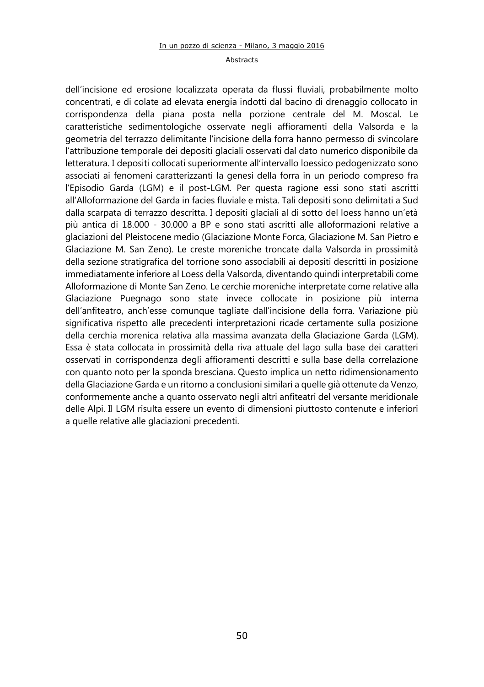dell'incisione ed erosione localizzata operata da flussi fluviali, probabilmente molto concentrati, e di colate ad elevata energia indotti dal bacino di drenaggio collocato in corrispondenza della piana posta nella porzione centrale del M. Moscal. Le caratteristiche sedimentologiche osservate negli affioramenti della Valsorda e la geometria del terrazzo delimitante l'incisione della forra hanno permesso di svincolare l'attribuzione temporale dei depositi glaciali osservati dal dato numerico disponibile da letteratura. I depositi collocati superiormente all'intervallo loessico pedogenizzato sono associati ai fenomeni caratterizzanti la genesi della forra in un periodo compreso fra l'Episodio Garda (LGM) e il post-LGM. Per questa ragione essi sono stati ascritti all'Alloformazione del Garda in facies fluviale e mista. Tali depositi sono delimitati a Sud dalla scarpata di terrazzo descritta. I depositi glaciali al di sotto del loess hanno un'età più antica di 18.000 - 30.000 a BP e sono stati ascritti alle alloformazioni relative a glaciazioni del Pleistocene medio (Glaciazione Monte Forca, Glaciazione M. San Pietro e Glaciazione M. San Zeno). Le creste moreniche troncate dalla Valsorda in prossimità della sezione stratigrafica del torrione sono associabili ai depositi descritti in posizione immediatamente inferiore al Loess della Valsorda, diventando quindi interpretabili come Alloformazione di Monte San Zeno. Le cerchie moreniche interpretate come relative alla Glaciazione Puegnago sono state invece collocate in posizione più interna dell'anfiteatro, anch'esse comunque tagliate dall'incisione della forra. Variazione più significativa rispetto alle precedenti interpretazioni ricade certamente sulla posizione della cerchia morenica relativa alla massima avanzata della Glaciazione Garda (LGM). Essa è stata collocata in prossimità della riva attuale del lago sulla base dei caratteri osservati in corrispondenza degli affioramenti descritti e sulla base della correlazione con quanto noto per la sponda bresciana. Questo implica un netto ridimensionamento della Glaciazione Garda e un ritorno a conclusioni similari a quelle già ottenute da Venzo, conformemente anche a quanto osservato negli altri anfiteatri del versante meridionale delle Alpi. Il LGM risulta essere un evento di dimensioni piuttosto contenute e inferiori a quelle relative alle glaciazioni precedenti.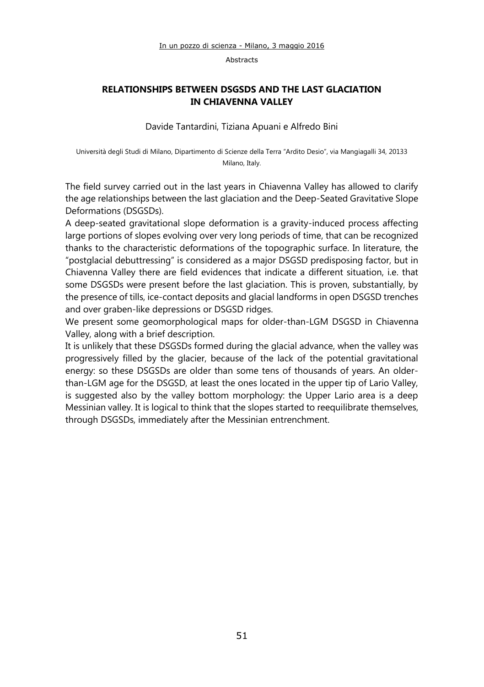## **RELATIONSHIPS BETWEEN DSGSDS AND THE LAST GLACIATION IN CHIAVENNA VALLEY**

Davide Tantardini, Tiziana Apuani e Alfredo Bini

Università degli Studi di Milano, Dipartimento di Scienze della Terra "Ardito Desio", via Mangiagalli 34, 20133 Milano, Italy.

The field survey carried out in the last years in Chiavenna Valley has allowed to clarify the age relationships between the last glaciation and the Deep-Seated Gravitative Slope Deformations (DSGSDs).

A deep-seated gravitational slope deformation is a gravity-induced process affecting large portions of slopes evolving over very long periods of time, that can be recognized thanks to the characteristic deformations of the topographic surface. In literature, the "postglacial debuttressing" is considered as a major DSGSD predisposing factor, but in Chiavenna Valley there are field evidences that indicate a different situation, i.e. that some DSGSDs were present before the last glaciation. This is proven, substantially, by the presence of tills, ice-contact deposits and glacial landforms in open DSGSD trenches and over graben-like depressions or DSGSD ridges.

We present some geomorphological maps for older-than-LGM DSGSD in Chiavenna Valley, along with a brief description.

It is unlikely that these DSGSDs formed during the glacial advance, when the valley was progressively filled by the glacier, because of the lack of the potential gravitational energy: so these DSGSDs are older than some tens of thousands of years. An olderthan-LGM age for the DSGSD, at least the ones located in the upper tip of Lario Valley, is suggested also by the valley bottom morphology: the Upper Lario area is a deep Messinian valley. It is logical to think that the slopes started to reequilibrate themselves, through DSGSDs, immediately after the Messinian entrenchment.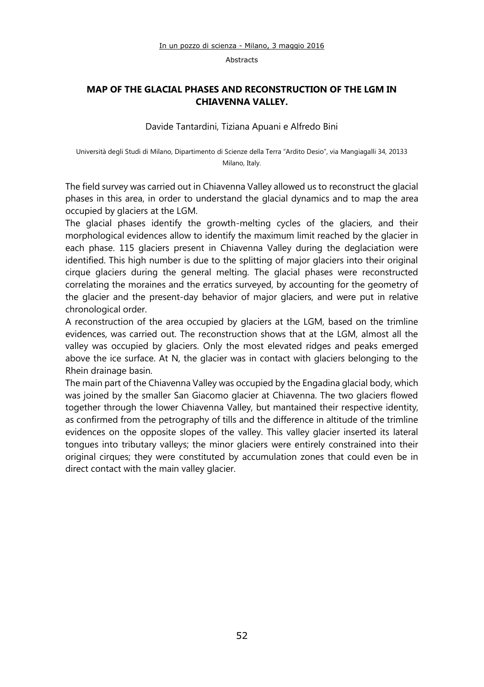## **MAP OF THE GLACIAL PHASES AND RECONSTRUCTION OF THE LGM IN CHIAVENNA VALLEY.**

Davide Tantardini, Tiziana Apuani e Alfredo Bini

Università degli Studi di Milano, Dipartimento di Scienze della Terra "Ardito Desio", via Mangiagalli 34, 20133 Milano, Italy.

The field survey was carried out in Chiavenna Valley allowed us to reconstruct the glacial phases in this area, in order to understand the glacial dynamics and to map the area occupied by glaciers at the LGM.

The glacial phases identify the growth-melting cycles of the glaciers, and their morphological evidences allow to identify the maximum limit reached by the glacier in each phase. 115 glaciers present in Chiavenna Valley during the deglaciation were identified. This high number is due to the splitting of major glaciers into their original cirque glaciers during the general melting. The glacial phases were reconstructed correlating the moraines and the erratics surveyed, by accounting for the geometry of the glacier and the present-day behavior of major glaciers, and were put in relative chronological order.

A reconstruction of the area occupied by glaciers at the LGM, based on the trimline evidences, was carried out. The reconstruction shows that at the LGM, almost all the valley was occupied by glaciers. Only the most elevated ridges and peaks emerged above the ice surface. At N, the glacier was in contact with glaciers belonging to the Rhein drainage basin.

The main part of the Chiavenna Valley was occupied by the Engadina glacial body, which was joined by the smaller San Giacomo glacier at Chiavenna. The two glaciers flowed together through the lower Chiavenna Valley, but mantained their respective identity, as confirmed from the petrography of tills and the difference in altitude of the trimline evidences on the opposite slopes of the valley. This valley glacier inserted its lateral tongues into tributary valleys; the minor glaciers were entirely constrained into their original cirques; they were constituted by accumulation zones that could even be in direct contact with the main valley glacier.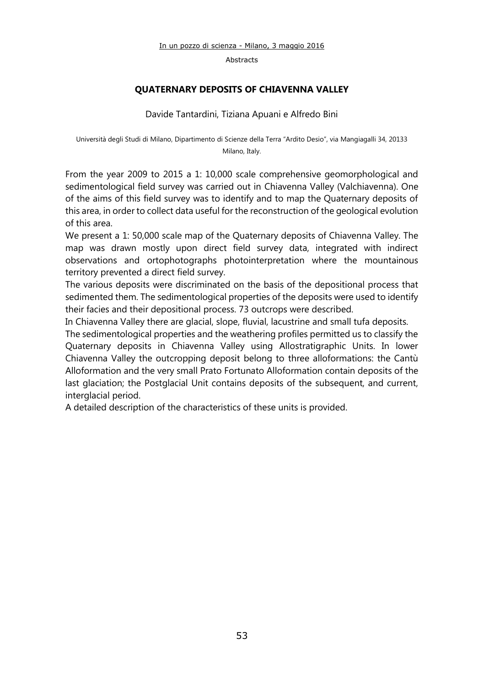Abstracts

## **QUATERNARY DEPOSITS OF CHIAVENNA VALLEY**

Davide Tantardini, Tiziana Apuani e Alfredo Bini

Università degli Studi di Milano, Dipartimento di Scienze della Terra "Ardito Desio", via Mangiagalli 34, 20133 Milano, Italy.

From the year 2009 to 2015 a 1: 10,000 scale comprehensive geomorphological and sedimentological field survey was carried out in Chiavenna Valley (Valchiavenna). One of the aims of this field survey was to identify and to map the Quaternary deposits of this area, in order to collect data useful for the reconstruction of the geological evolution of this area.

We present a 1: 50,000 scale map of the Quaternary deposits of Chiavenna Valley. The map was drawn mostly upon direct field survey data, integrated with indirect observations and ortophotographs photointerpretation where the mountainous territory prevented a direct field survey.

The various deposits were discriminated on the basis of the depositional process that sedimented them. The sedimentological properties of the deposits were used to identify their facies and their depositional process. 73 outcrops were described.

In Chiavenna Valley there are glacial, slope, fluvial, lacustrine and small tufa deposits.

The sedimentological properties and the weathering profiles permitted us to classify the Quaternary deposits in Chiavenna Valley using Allostratigraphic Units. In lower Chiavenna Valley the outcropping deposit belong to three alloformations: the Cantù Alloformation and the very small Prato Fortunato Alloformation contain deposits of the last glaciation; the Postglacial Unit contains deposits of the subsequent, and current, interglacial period.

A detailed description of the characteristics of these units is provided.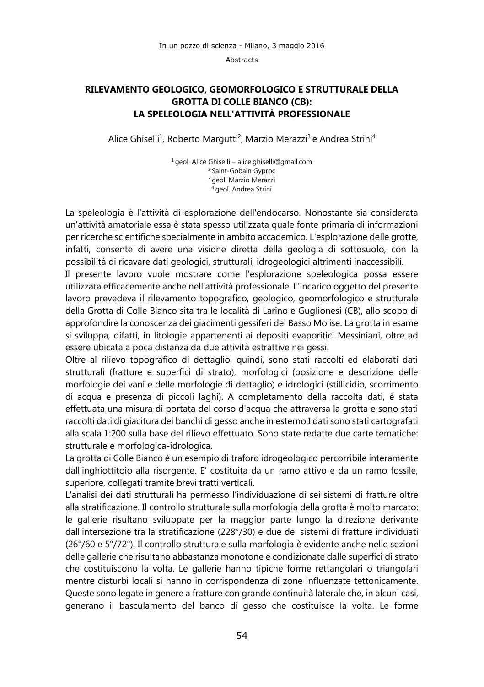## **RILEVAMENTO GEOLOGICO, GEOMORFOLOGICO E STRUTTURALE DELLA GROTTA DI COLLE BIANCO (CB): LA SPELEOLOGIA NELL'ATTIVITÀ PROFESSIONALE**

Alice Ghiselli<sup>1</sup>, Roberto Margutti<sup>2</sup>, Marzio Merazzi<sup>3</sup> e Andrea Strini<sup>4</sup>

<sup>1</sup>geol. Alice Ghiselli – [alice.ghiselli@gmail.com](mailto:alice.ghiselli@gmail.com) <sup>2</sup> Saint-Gobain Gyproc <sup>3</sup> geol. Marzio Merazzi <sup>4</sup> geol. Andrea Strini

La speleologia è l'attività di esplorazione dell'endocarso. Nonostante sia considerata un'attività amatoriale essa è stata spesso utilizzata quale fonte primaria di informazioni per ricerche scientifiche specialmente in ambito accademico. L'esplorazione delle grotte, infatti, consente di avere una visione diretta della geologia di sottosuolo, con la possibilità di ricavare dati geologici, strutturali, idrogeologici altrimenti inaccessibili.

Il presente lavoro vuole mostrare come l'esplorazione speleologica possa essere utilizzata efficacemente anche nell'attività professionale. L'incarico oggetto del presente lavoro prevedeva il rilevamento topografico, geologico, geomorfologico e strutturale della Grotta di Colle Bianco sita tra le località di Larino e Guglionesi (CB), allo scopo di approfondire la conoscenza dei giacimenti gessiferi del Basso Molise. La grotta in esame si sviluppa, difatti, in litologie appartenenti ai depositi evaporitici Messiniani, oltre ad essere ubicata a poca distanza da due attività estrattive nei gessi.

Oltre al rilievo topografico di dettaglio, quindi, sono stati raccolti ed elaborati dati strutturali (fratture e superfici di strato), morfologici (posizione e descrizione delle morfologie dei vani e delle morfologie di dettaglio) e idrologici (stillicidio, scorrimento di acqua e presenza di piccoli laghi). A completamento della raccolta dati, è stata effettuata una misura di portata del corso d'acqua che attraversa la grotta e sono stati raccolti dati di giacitura dei banchi di gesso anche in esterno.I dati sono stati cartografati alla scala 1:200 sulla base del rilievo effettuato. Sono state redatte due carte tematiche: strutturale e morfologica-idrologica.

La grotta di Colle Bianco è un esempio di traforo idrogeologico percorribile interamente dall'inghiottitoio alla risorgente. E' costituita da un ramo attivo e da un ramo fossile, superiore, collegati tramite brevi tratti verticali.

L'analisi dei dati strutturali ha permesso l'individuazione di sei sistemi di fratture oltre alla stratificazione. Il controllo strutturale sulla morfologia della grotta è molto marcato: le gallerie risultano sviluppate per la maggior parte lungo la direzione derivante dall'intersezione tra la stratificazione (228°/30) e due dei sistemi di fratture individuati (26°/60 e 5°/72°). Il controllo strutturale sulla morfologia è evidente anche nelle sezioni delle gallerie che risultano abbastanza monotone e condizionate dalle superfici di strato che costituiscono la volta. Le gallerie hanno tipiche forme rettangolari o triangolari mentre disturbi locali si hanno in corrispondenza di zone influenzate tettonicamente. Queste sono legate in genere a fratture con grande continuità laterale che, in alcuni casi, generano il basculamento del banco di gesso che costituisce la volta. Le forme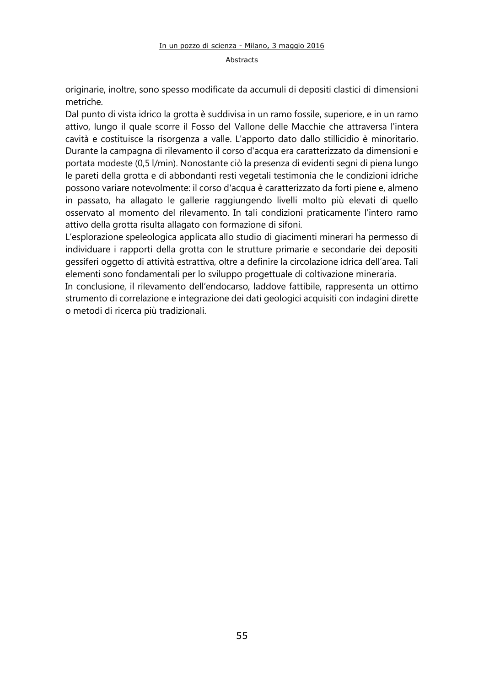#### Abstracts

originarie, inoltre, sono spesso modificate da accumuli di depositi clastici di dimensioni metriche.

Dal punto di vista idrico la grotta è suddivisa in un ramo fossile, superiore, e in un ramo attivo, lungo il quale scorre il Fosso del Vallone delle Macchie che attraversa l'intera cavità e costituisce la risorgenza a valle. L'apporto dato dallo stillicidio è minoritario. Durante la campagna di rilevamento il corso d'acqua era caratterizzato da dimensioni e portata modeste (0,5 l/min). Nonostante ciò la presenza di evidenti segni di piena lungo le pareti della grotta e di abbondanti resti vegetali testimonia che le condizioni idriche possono variare notevolmente: il corso d'acqua è caratterizzato da forti piene e, almeno in passato, ha allagato le gallerie raggiungendo livelli molto più elevati di quello osservato al momento del rilevamento. In tali condizioni praticamente l'intero ramo attivo della grotta risulta allagato con formazione di sifoni.

L'esplorazione speleologica applicata allo studio di giacimenti minerari ha permesso di individuare i rapporti della grotta con le strutture primarie e secondarie dei depositi gessiferi oggetto di attività estrattiva, oltre a definire la circolazione idrica dell'area. Tali elementi sono fondamentali per lo sviluppo progettuale di coltivazione mineraria.

In conclusione, il rilevamento dell'endocarso, laddove fattibile, rappresenta un ottimo strumento di correlazione e integrazione dei dati geologici acquisiti con indagini dirette o metodi di ricerca più tradizionali.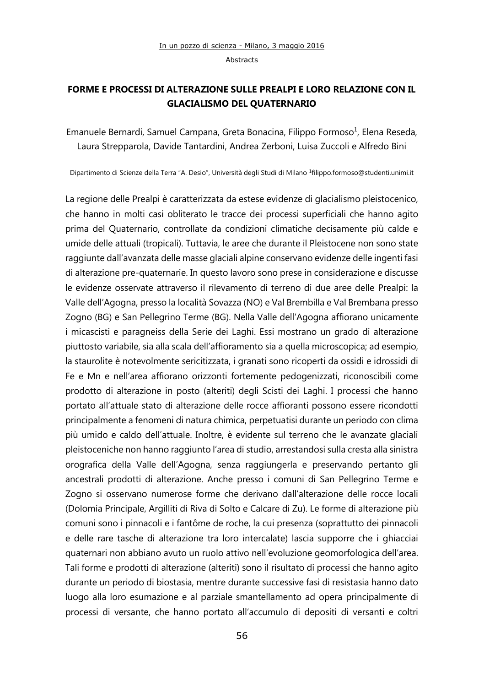## **FORME E PROCESSI DI ALTERAZIONE SULLE PREALPI E LORO RELAZIONE CON IL GLACIALISMO DEL QUATERNARIO**

Emanuele Bernardi, Samuel Campana, Greta Bonacina, Filippo Formoso<sup>1</sup>, Elena Reseda, Laura Strepparola, Davide Tantardini, Andrea Zerboni, Luisa Zuccoli e Alfredo Bini

Dipartimento di Scienze della Terra "A. Desio", Università degli Studi di Milano <sup>1</sup> filippo.formoso@studenti.unimi.it

La regione delle Prealpi è caratterizzata da estese evidenze di glacialismo pleistocenico, che hanno in molti casi obliterato le tracce dei processi superficiali che hanno agito prima del Quaternario, controllate da condizioni climatiche decisamente più calde e umide delle attuali (tropicali). Tuttavia, le aree che durante il Pleistocene non sono state raggiunte dall'avanzata delle masse glaciali alpine conservano evidenze delle ingenti fasi di alterazione pre-quaternarie. In questo lavoro sono prese in considerazione e discusse le evidenze osservate attraverso il rilevamento di terreno di due aree delle Prealpi: la Valle dell'Agogna, presso la località Sovazza (NO) e Val Brembilla e Val Brembana presso Zogno (BG) e San Pellegrino Terme (BG). Nella Valle dell'Agogna affiorano unicamente i micascisti e paragneiss della Serie dei Laghi. Essi mostrano un grado di alterazione piuttosto variabile, sia alla scala dell'affioramento sia a quella microscopica; ad esempio, la staurolite è notevolmente sericitizzata, i granati sono ricoperti da ossidi e idrossidi di Fe e Mn e nell'area affiorano orizzonti fortemente pedogenizzati, riconoscibili come prodotto di alterazione in posto (alteriti) degli Scisti dei Laghi. I processi che hanno portato all'attuale stato di alterazione delle rocce affioranti possono essere ricondotti principalmente a fenomeni di natura chimica, perpetuatisi durante un periodo con clima più umido e caldo dell'attuale. Inoltre, è evidente sul terreno che le avanzate glaciali pleistoceniche non hanno raggiunto l'area di studio, arrestandosi sulla cresta alla sinistra orografica della Valle dell'Agogna, senza raggiungerla e preservando pertanto gli ancestrali prodotti di alterazione. Anche presso i comuni di San Pellegrino Terme e Zogno si osservano numerose forme che derivano dall'alterazione delle rocce locali (Dolomia Principale, Argilliti di Riva di Solto e Calcare di Zu). Le forme di alterazione più comuni sono i pinnacoli e i fantôme de roche, la cui presenza (soprattutto dei pinnacoli e delle rare tasche di alterazione tra loro intercalate) lascia supporre che i ghiacciai quaternari non abbiano avuto un ruolo attivo nell'evoluzione geomorfologica dell'area. Tali forme e prodotti di alterazione (alteriti) sono il risultato di processi che hanno agito durante un periodo di biostasia, mentre durante successive fasi di resistasia hanno dato luogo alla loro esumazione e al parziale smantellamento ad opera principalmente di processi di versante, che hanno portato all'accumulo di depositi di versanti e coltri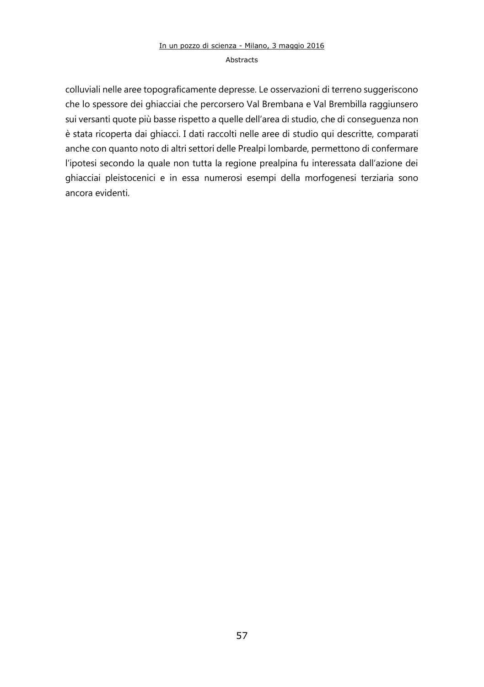## In un pozzo di scienza - Milano, 3 maggio 2016 Abstracts

colluviali nelle aree topograficamente depresse. Le osservazioni di terreno suggeriscono che lo spessore dei ghiacciai che percorsero Val Brembana e Val Brembilla raggiunsero sui versanti quote più basse rispetto a quelle dell'area di studio, che di conseguenza non è stata ricoperta dai ghiacci. I dati raccolti nelle aree di studio qui descritte, comparati anche con quanto noto di altri settori delle Prealpi lombarde, permettono di confermare l'ipotesi secondo la quale non tutta la regione prealpina fu interessata dall'azione dei ghiacciai pleistocenici e in essa numerosi esempi della morfogenesi terziaria sono ancora evidenti.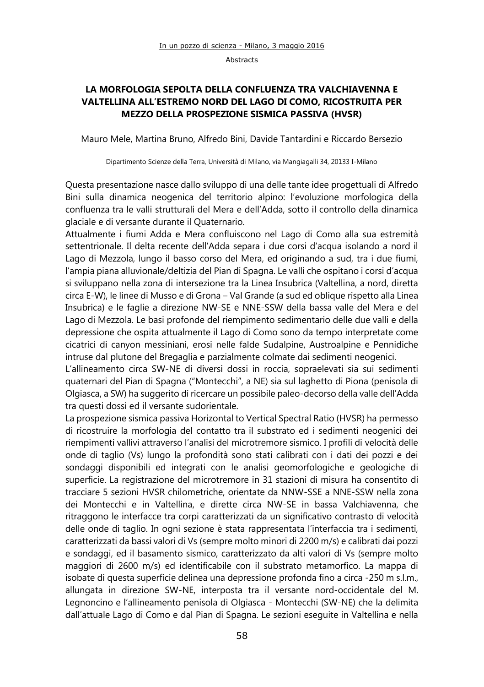## **LA MORFOLOGIA SEPOLTA DELLA CONFLUENZA TRA VALCHIAVENNA E VALTELLINA ALL'ESTREMO NORD DEL LAGO DI COMO, RICOSTRUITA PER MEZZO DELLA PROSPEZIONE SISMICA PASSIVA (HVSR)**

Mauro Mele, Martina Bruno, Alfredo Bini, Davide Tantardini e Riccardo Bersezio

Dipartimento Scienze della Terra, Università di Milano, via Mangiagalli 34, 20133 I-Milano

Questa presentazione nasce dallo sviluppo di una delle tante idee progettuali di Alfredo Bini sulla dinamica neogenica del territorio alpino: l'evoluzione morfologica della confluenza tra le valli strutturali del Mera e dell'Adda, sotto il controllo della dinamica glaciale e di versante durante il Quaternario.

Attualmente i fiumi Adda e Mera confluiscono nel Lago di Como alla sua estremità settentrionale. Il delta recente dell'Adda separa i due corsi d'acqua isolando a nord il Lago di Mezzola, lungo il basso corso del Mera, ed originando a sud, tra i due fiumi, l'ampia piana alluvionale/deltizia del Pian di Spagna. Le valli che ospitano i corsi d'acqua si sviluppano nella zona di intersezione tra la Linea Insubrica (Valtellina, a nord, diretta circa E-W), le linee di Musso e di Grona – Val Grande (a sud ed oblique rispetto alla Linea Insubrica) e le faglie a direzione NW-SE e NNE-SSW della bassa valle del Mera e del Lago di Mezzola. Le basi profonde del riempimento sedimentario delle due valli e della depressione che ospita attualmente il Lago di Como sono da tempo interpretate come cicatrici di canyon messiniani, erosi nelle falde Sudalpine, Austroalpine e Pennidiche intruse dal plutone del Bregaglia e parzialmente colmate dai sedimenti neogenici.

L'allineamento circa SW-NE di diversi dossi in roccia, sopraelevati sia sui sedimenti quaternari del Pian di Spagna ("Montecchi", a NE) sia sul laghetto di Piona (penisola di Olgiasca, a SW) ha suggerito di ricercare un possibile paleo-decorso della valle dell'Adda tra questi dossi ed il versante sudorientale.

La prospezione sismica passiva Horizontal to Vertical Spectral Ratio (HVSR) ha permesso di ricostruire la morfologia del contatto tra il substrato ed i sedimenti neogenici dei riempimenti vallivi attraverso l'analisi del microtremore sismico. I profili di velocità delle onde di taglio (Vs) lungo la profondità sono stati calibrati con i dati dei pozzi e dei sondaggi disponibili ed integrati con le analisi geomorfologiche e geologiche di superficie. La registrazione del microtremore in 31 stazioni di misura ha consentito di tracciare 5 sezioni HVSR chilometriche, orientate da NNW-SSE a NNE-SSW nella zona dei Montecchi e in Valtellina, e dirette circa NW-SE in bassa Valchiavenna, che ritraggono le interfacce tra corpi caratterizzati da un significativo contrasto di velocità delle onde di taglio. In ogni sezione è stata rappresentata l'interfaccia tra i sedimenti, caratterizzati da bassi valori di Vs (sempre molto minori di 2200 m/s) e calibrati dai pozzi e sondaggi, ed il basamento sismico, caratterizzato da alti valori di Vs (sempre molto maggiori di 2600 m/s) ed identificabile con il substrato metamorfico. La mappa di isobate di questa superficie delinea una depressione profonda fino a circa -250 m s.l.m., allungata in direzione SW-NE, interposta tra il versante nord-occidentale del M. Legnoncino e l'allineamento penisola di Olgiasca - Montecchi (SW-NE) che la delimita dall'attuale Lago di Como e dal Pian di Spagna. Le sezioni eseguite in Valtellina e nella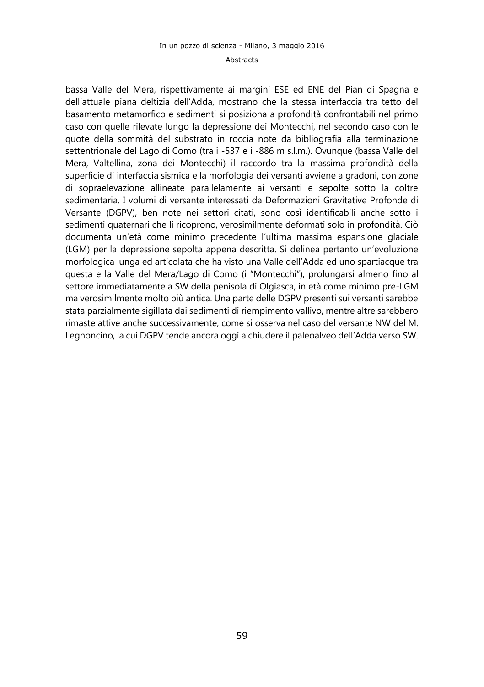#### Abstracts

bassa Valle del Mera, rispettivamente ai margini ESE ed ENE del Pian di Spagna e dell'attuale piana deltizia dell'Adda, mostrano che la stessa interfaccia tra tetto del basamento metamorfico e sedimenti si posiziona a profondità confrontabili nel primo caso con quelle rilevate lungo la depressione dei Montecchi, nel secondo caso con le quote della sommità del substrato in roccia note da bibliografia alla terminazione settentrionale del Lago di Como (tra i -537 e i -886 m s.l.m.). Ovunque (bassa Valle del Mera, Valtellina, zona dei Montecchi) il raccordo tra la massima profondità della superficie di interfaccia sismica e la morfologia dei versanti avviene a gradoni, con zone di sopraelevazione allineate parallelamente ai versanti e sepolte sotto la coltre sedimentaria. I volumi di versante interessati da Deformazioni Gravitative Profonde di Versante (DGPV), ben note nei settori citati, sono così identificabili anche sotto i sedimenti quaternari che li ricoprono, verosimilmente deformati solo in profondità. Ciò documenta un'età come minimo precedente l'ultima massima espansione glaciale (LGM) per la depressione sepolta appena descritta. Si delinea pertanto un'evoluzione morfologica lunga ed articolata che ha visto una Valle dell'Adda ed uno spartiacque tra questa e la Valle del Mera/Lago di Como (i "Montecchi"), prolungarsi almeno fino al settore immediatamente a SW della penisola di Olgiasca, in età come minimo pre-LGM ma verosimilmente molto più antica. Una parte delle DGPV presenti sui versanti sarebbe stata parzialmente sigillata dai sedimenti di riempimento vallivo, mentre altre sarebbero rimaste attive anche successivamente, come si osserva nel caso del versante NW del M. Legnoncino, la cui DGPV tende ancora oggi a chiudere il paleoalveo dell'Adda verso SW.